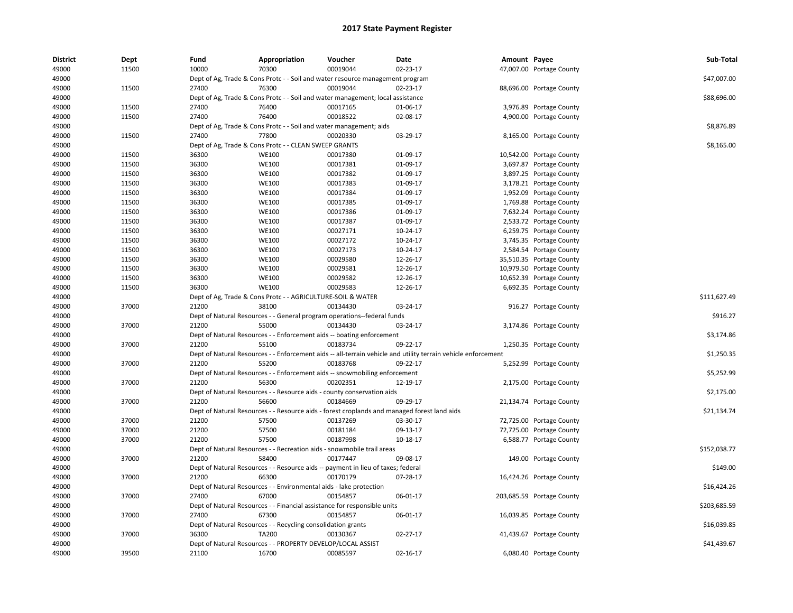| <b>District</b> | Dept  | Fund  | Appropriation                                                      | Voucher                                                                          | Date                                                                                                          | Amount Payee |                           | Sub-Total    |
|-----------------|-------|-------|--------------------------------------------------------------------|----------------------------------------------------------------------------------|---------------------------------------------------------------------------------------------------------------|--------------|---------------------------|--------------|
| 49000           | 11500 | 10000 | 70300                                                              | 00019044                                                                         | 02-23-17                                                                                                      |              | 47,007.00 Portage County  |              |
| 49000           |       |       |                                                                    | Dept of Ag, Trade & Cons Protc - - Soil and water resource management program    |                                                                                                               |              |                           | \$47.007.00  |
| 49000           | 11500 | 27400 | 76300                                                              | 00019044                                                                         | 02-23-17                                                                                                      |              | 88,696.00 Portage County  |              |
| 49000           |       |       |                                                                    | Dept of Ag, Trade & Cons Protc - - Soil and water management; local assistance   |                                                                                                               |              |                           | \$88,696.00  |
| 49000           | 11500 | 27400 | 76400                                                              | 00017165                                                                         | 01-06-17                                                                                                      |              | 3,976.89 Portage County   |              |
| 49000           | 11500 | 27400 | 76400                                                              | 00018522                                                                         | 02-08-17                                                                                                      |              | 4,900.00 Portage County   |              |
| 49000           |       |       |                                                                    | Dept of Ag, Trade & Cons Protc - - Soil and water management; aids               |                                                                                                               |              |                           | \$8,876.89   |
| 49000           | 11500 | 27400 | 77800                                                              | 00020330                                                                         | 03-29-17                                                                                                      |              | 8,165.00 Portage County   |              |
| 49000           |       |       | Dept of Ag, Trade & Cons Protc - - CLEAN SWEEP GRANTS              |                                                                                  |                                                                                                               |              |                           | \$8,165.00   |
| 49000           | 11500 | 36300 | <b>WE100</b>                                                       | 00017380                                                                         | 01-09-17                                                                                                      |              | 10,542.00 Portage County  |              |
| 49000           | 11500 | 36300 | <b>WE100</b>                                                       | 00017381                                                                         | 01-09-17                                                                                                      |              | 3,697.87 Portage County   |              |
| 49000           | 11500 | 36300 | <b>WE100</b>                                                       | 00017382                                                                         | 01-09-17                                                                                                      |              | 3,897.25 Portage County   |              |
| 49000           | 11500 | 36300 | <b>WE100</b>                                                       | 00017383                                                                         | 01-09-17                                                                                                      |              | 3,178.21 Portage County   |              |
| 49000           | 11500 | 36300 | <b>WE100</b>                                                       | 00017384                                                                         | 01-09-17                                                                                                      |              | 1,952.09 Portage County   |              |
| 49000           | 11500 | 36300 | <b>WE100</b>                                                       | 00017385                                                                         | 01-09-17                                                                                                      |              | 1,769.88 Portage County   |              |
| 49000           | 11500 | 36300 | <b>WE100</b>                                                       | 00017386                                                                         | 01-09-17                                                                                                      |              | 7,632.24 Portage County   |              |
| 49000           | 11500 | 36300 | <b>WE100</b>                                                       | 00017387                                                                         | 01-09-17                                                                                                      |              | 2,533.72 Portage County   |              |
| 49000           | 11500 | 36300 | <b>WE100</b>                                                       | 00027171                                                                         | 10-24-17                                                                                                      |              | 6,259.75 Portage County   |              |
| 49000           | 11500 | 36300 | <b>WE100</b>                                                       | 00027172                                                                         | 10-24-17                                                                                                      |              | 3,745.35 Portage County   |              |
| 49000           | 11500 | 36300 | <b>WE100</b>                                                       | 00027173                                                                         | 10-24-17                                                                                                      |              | 2,584.54 Portage County   |              |
| 49000           | 11500 | 36300 | <b>WE100</b>                                                       | 00029580                                                                         | 12-26-17                                                                                                      |              | 35,510.35 Portage County  |              |
| 49000           | 11500 | 36300 | <b>WE100</b>                                                       | 00029581                                                                         | 12-26-17                                                                                                      |              | 10,979.50 Portage County  |              |
| 49000           | 11500 | 36300 | <b>WE100</b>                                                       | 00029582                                                                         | 12-26-17                                                                                                      |              | 10,652.39 Portage County  |              |
| 49000           | 11500 | 36300 | <b>WE100</b>                                                       | 00029583                                                                         | 12-26-17                                                                                                      |              | 6,692.35 Portage County   |              |
| 49000           |       |       | Dept of Ag, Trade & Cons Protc - - AGRICULTURE-SOIL & WATER        |                                                                                  |                                                                                                               |              |                           | \$111,627.49 |
| 49000           | 37000 | 21200 | 38100                                                              | 00134430                                                                         | 03-24-17                                                                                                      |              | 916.27 Portage County     |              |
| 49000           |       |       |                                                                    | Dept of Natural Resources - - General program operations--federal funds          |                                                                                                               |              |                           | \$916.27     |
| 49000           | 37000 | 21200 | 55000                                                              | 00134430                                                                         | 03-24-17                                                                                                      |              | 3,174.86 Portage County   |              |
| 49000           |       |       |                                                                    | Dept of Natural Resources - - Enforcement aids -- boating enforcement            |                                                                                                               |              |                           | \$3,174.86   |
| 49000           | 37000 | 21200 | 55100                                                              | 00183734                                                                         | 09-22-17                                                                                                      |              | 1,250.35 Portage County   |              |
| 49000           |       |       |                                                                    |                                                                                  | Dept of Natural Resources - - Enforcement aids -- all-terrain vehicle and utility terrain vehicle enforcement |              |                           | \$1,250.35   |
| 49000           | 37000 | 21200 | 55200                                                              | 00183768                                                                         | 09-22-17                                                                                                      |              | 5,252.99 Portage County   |              |
| 49000           |       |       |                                                                    | Dept of Natural Resources - - Enforcement aids -- snowmobiling enforcement       |                                                                                                               |              |                           | \$5,252.99   |
| 49000           | 37000 | 21200 | 56300                                                              | 00202351                                                                         | 12-19-17                                                                                                      |              | 2,175.00 Portage County   |              |
| 49000           |       |       |                                                                    | Dept of Natural Resources - - Resource aids - county conservation aids           |                                                                                                               |              |                           | \$2,175.00   |
| 49000           | 37000 | 21200 | 56600                                                              | 00184669                                                                         | 09-29-17                                                                                                      |              | 21,134.74 Portage County  |              |
| 49000           |       |       |                                                                    |                                                                                  | Dept of Natural Resources - - Resource aids - forest croplands and managed forest land aids                   |              |                           | \$21,134.74  |
| 49000           | 37000 | 21200 | 57500                                                              | 00137269                                                                         | 03-30-17                                                                                                      |              | 72,725.00 Portage County  |              |
| 49000           | 37000 | 21200 | 57500                                                              | 00181184                                                                         | 09-13-17                                                                                                      |              | 72,725.00 Portage County  |              |
| 49000           | 37000 | 21200 | 57500                                                              | 00187998                                                                         | 10-18-17                                                                                                      |              | 6,588.77 Portage County   |              |
| 49000           |       |       |                                                                    | Dept of Natural Resources - - Recreation aids - snowmobile trail areas           |                                                                                                               |              |                           | \$152,038.77 |
| 49000           | 37000 | 21200 | 58400                                                              | 00177447                                                                         | 09-08-17                                                                                                      |              | 149.00 Portage County     |              |
| 49000           |       |       |                                                                    | Dept of Natural Resources - - Resource aids -- payment in lieu of taxes; federal |                                                                                                               |              |                           | \$149.00     |
| 49000           | 37000 | 21200 | 66300                                                              | 00170179                                                                         | 07-28-17                                                                                                      |              | 16,424.26 Portage County  |              |
| 49000           |       |       | Dept of Natural Resources - - Environmental aids - lake protection |                                                                                  |                                                                                                               |              |                           | \$16,424.26  |
| 49000           | 37000 | 27400 | 67000                                                              | 00154857                                                                         | 06-01-17                                                                                                      |              | 203,685.59 Portage County |              |
| 49000           |       |       |                                                                    | Dept of Natural Resources - - Financial assistance for responsible units         |                                                                                                               |              |                           | \$203,685.59 |
| 49000           | 37000 | 27400 | 67300                                                              | 00154857                                                                         | 06-01-17                                                                                                      |              | 16,039.85 Portage County  |              |
| 49000           |       |       | Dept of Natural Resources - - Recycling consolidation grants       |                                                                                  |                                                                                                               |              |                           | \$16,039.85  |
| 49000           | 37000 | 36300 | <b>TA200</b>                                                       | 00130367                                                                         | $02 - 27 - 17$                                                                                                |              | 41,439.67 Portage County  |              |
| 49000           |       |       | Dept of Natural Resources - - PROPERTY DEVELOP/LOCAL ASSIST        |                                                                                  |                                                                                                               |              |                           | \$41,439.67  |
| 49000           | 39500 | 21100 | 16700                                                              | 00085597                                                                         | $02 - 16 - 17$                                                                                                |              | 6,080.40 Portage County   |              |
|                 |       |       |                                                                    |                                                                                  |                                                                                                               |              |                           |              |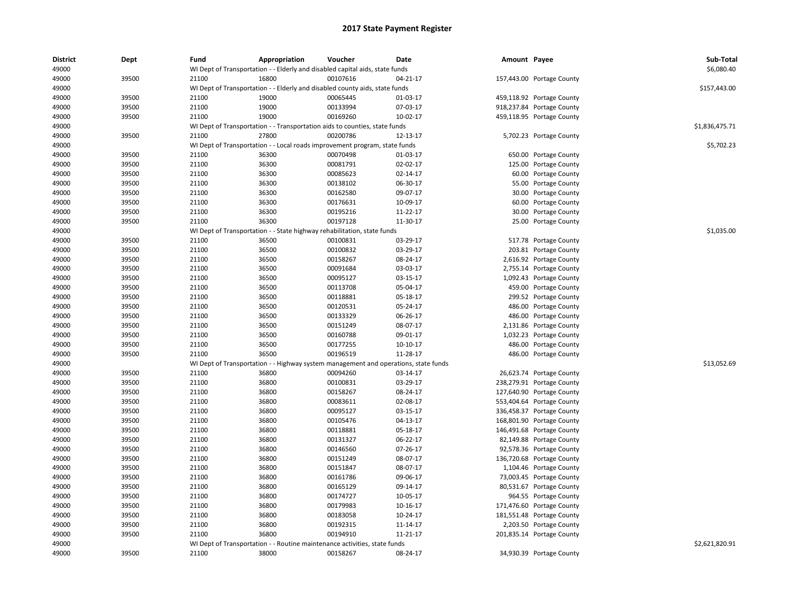| <b>District</b> | Dept  | Fund  | Appropriation                                                                       | Voucher  | Date       | Amount Payee |                           | Sub-Total      |
|-----------------|-------|-------|-------------------------------------------------------------------------------------|----------|------------|--------------|---------------------------|----------------|
| 49000           |       |       | WI Dept of Transportation - - Elderly and disabled capital aids, state funds        |          |            |              |                           | \$6,080.40     |
| 49000           | 39500 | 21100 | 16800                                                                               | 00107616 | 04-21-17   |              | 157,443.00 Portage County |                |
| 49000           |       |       | WI Dept of Transportation - - Elderly and disabled county aids, state funds         |          |            |              |                           | \$157,443.00   |
| 49000           | 39500 | 21100 | 19000                                                                               | 00065445 | 01-03-17   |              | 459,118.92 Portage County |                |
| 49000           | 39500 | 21100 | 19000                                                                               | 00133994 | 07-03-17   |              | 918,237.84 Portage County |                |
| 49000           | 39500 | 21100 | 19000                                                                               | 00169260 | 10-02-17   |              | 459,118.95 Portage County |                |
| 49000           |       |       | WI Dept of Transportation - - Transportation aids to counties, state funds          |          |            |              |                           | \$1,836,475.71 |
| 49000           | 39500 | 21100 | 27800                                                                               | 00200786 | 12-13-17   |              | 5,702.23 Portage County   |                |
| 49000           |       |       | WI Dept of Transportation - - Local roads improvement program, state funds          |          |            |              |                           | \$5,702.23     |
| 49000           | 39500 | 21100 | 36300                                                                               | 00070498 | 01-03-17   |              | 650.00 Portage County     |                |
| 49000           | 39500 | 21100 | 36300                                                                               | 00081791 | 02-02-17   |              | 125.00 Portage County     |                |
| 49000           | 39500 | 21100 | 36300                                                                               | 00085623 | 02-14-17   | 60.00        | Portage County            |                |
| 49000           | 39500 | 21100 | 36300                                                                               | 00138102 | 06-30-17   |              | 55.00 Portage County      |                |
| 49000           | 39500 | 21100 | 36300                                                                               | 00162580 | 09-07-17   |              | 30.00 Portage County      |                |
| 49000           | 39500 | 21100 | 36300                                                                               | 00176631 | 10-09-17   |              | 60.00 Portage County      |                |
| 49000           | 39500 | 21100 | 36300                                                                               | 00195216 | 11-22-17   |              | 30.00 Portage County      |                |
| 49000           | 39500 | 21100 | 36300                                                                               | 00197128 | 11-30-17   |              | 25.00 Portage County      |                |
| 49000           |       |       | WI Dept of Transportation - - State highway rehabilitation, state funds             |          |            |              |                           | \$1,035.00     |
| 49000           | 39500 | 21100 | 36500                                                                               | 00100831 | 03-29-17   |              | 517.78 Portage County     |                |
| 49000           | 39500 | 21100 | 36500                                                                               | 00100832 | 03-29-17   |              | 203.81 Portage County     |                |
| 49000           | 39500 | 21100 | 36500                                                                               | 00158267 | 08-24-17   |              | 2,616.92 Portage County   |                |
| 49000           | 39500 | 21100 | 36500                                                                               | 00091684 | 03-03-17   |              | 2,755.14 Portage County   |                |
| 49000           | 39500 | 21100 | 36500                                                                               | 00095127 | 03-15-17   |              | 1,092.43 Portage County   |                |
| 49000           | 39500 | 21100 | 36500                                                                               | 00113708 | 05-04-17   |              | 459.00 Portage County     |                |
| 49000           | 39500 | 21100 | 36500                                                                               | 00118881 | 05-18-17   |              | 299.52 Portage County     |                |
| 49000           | 39500 | 21100 | 36500                                                                               | 00120531 | 05-24-17   |              | 486.00 Portage County     |                |
| 49000           | 39500 | 21100 | 36500                                                                               | 00133329 | 06-26-17   |              | 486.00 Portage County     |                |
| 49000           | 39500 | 21100 | 36500                                                                               | 00151249 | 08-07-17   |              | 2,131.86 Portage County   |                |
| 49000           | 39500 | 21100 | 36500                                                                               | 00160788 | 09-01-17   |              | 1,032.23 Portage County   |                |
| 49000           | 39500 | 21100 | 36500                                                                               | 00177255 | $10-10-17$ |              | 486.00 Portage County     |                |
| 49000           | 39500 | 21100 | 36500                                                                               | 00196519 | 11-28-17   |              | 486.00 Portage County     |                |
| 49000           |       |       | WI Dept of Transportation - - Highway system management and operations, state funds |          |            |              |                           | \$13,052.69    |
| 49000           | 39500 | 21100 | 36800                                                                               | 00094260 | 03-14-17   |              | 26,623.74 Portage County  |                |
| 49000           | 39500 | 21100 | 36800                                                                               | 00100831 | 03-29-17   |              | 238,279.91 Portage County |                |
| 49000           | 39500 | 21100 | 36800                                                                               | 00158267 | 08-24-17   |              | 127,640.90 Portage County |                |
| 49000           | 39500 | 21100 | 36800                                                                               | 00083611 | 02-08-17   |              | 553,404.64 Portage County |                |
| 49000           | 39500 | 21100 | 36800                                                                               | 00095127 | 03-15-17   |              | 336,458.37 Portage County |                |
| 49000           | 39500 | 21100 | 36800                                                                               | 00105476 | 04-13-17   |              | 168,801.90 Portage County |                |
| 49000           | 39500 | 21100 | 36800                                                                               | 00118881 | 05-18-17   |              | 146,491.68 Portage County |                |
| 49000           | 39500 | 21100 | 36800                                                                               | 00131327 | 06-22-17   |              | 82,149.88 Portage County  |                |
| 49000           | 39500 | 21100 | 36800                                                                               | 00146560 | 07-26-17   |              | 92,578.36 Portage County  |                |
| 49000           | 39500 | 21100 | 36800                                                                               | 00151249 | 08-07-17   |              | 136,720.68 Portage County |                |
| 49000           | 39500 | 21100 | 36800                                                                               | 00151847 | 08-07-17   |              | 1,104.46 Portage County   |                |
| 49000           | 39500 | 21100 | 36800                                                                               | 00161786 | 09-06-17   |              |                           |                |
|                 |       |       |                                                                                     |          |            |              | 73,003.45 Portage County  |                |
| 49000           | 39500 | 21100 | 36800                                                                               | 00165129 | 09-14-17   |              | 80,531.67 Portage County  |                |
| 49000           | 39500 | 21100 | 36800                                                                               | 00174727 | 10-05-17   |              | 964.55 Portage County     |                |
| 49000           | 39500 | 21100 | 36800                                                                               | 00179983 | 10-16-17   |              | 171,476.60 Portage County |                |
| 49000           | 39500 | 21100 | 36800                                                                               | 00183058 | 10-24-17   |              | 181,551.48 Portage County |                |
| 49000           | 39500 | 21100 | 36800                                                                               | 00192315 | 11-14-17   |              | 2,203.50 Portage County   |                |
| 49000           | 39500 | 21100 | 36800                                                                               | 00194910 | 11-21-17   |              | 201,835.14 Portage County |                |
| 49000           |       |       | WI Dept of Transportation - - Routine maintenance activities, state funds           |          |            |              |                           | \$2,621,820.91 |
| 49000           | 39500 | 21100 | 38000                                                                               | 00158267 | 08-24-17   |              | 34,930.39 Portage County  |                |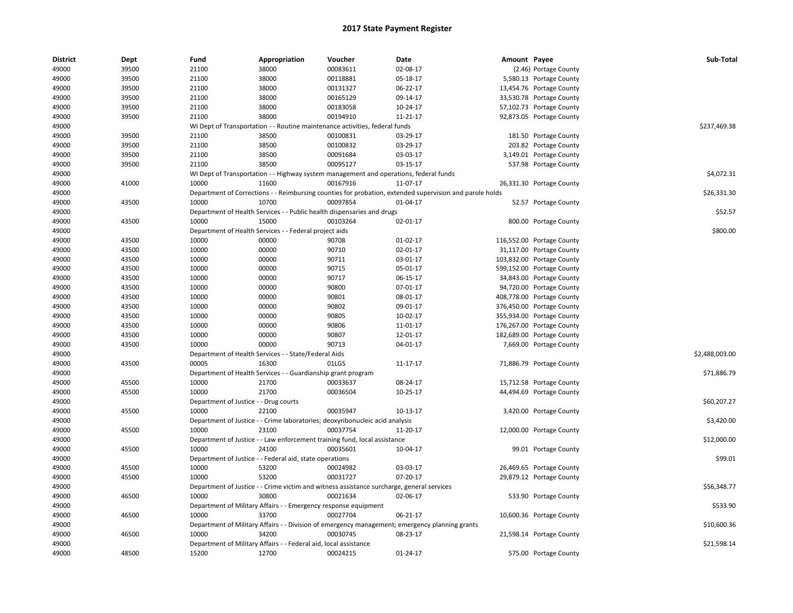| <b>District</b> | Dept           | Fund                                  | Appropriation                                                    | Voucher                                                                                   | <b>Date</b>                                                                                             | Amount Payee |                           | Sub-Total      |
|-----------------|----------------|---------------------------------------|------------------------------------------------------------------|-------------------------------------------------------------------------------------------|---------------------------------------------------------------------------------------------------------|--------------|---------------------------|----------------|
| 49000           | 39500          | 21100                                 | 38000                                                            | 00083611                                                                                  | 02-08-17                                                                                                |              | (2.46) Portage County     |                |
| 49000           | 39500          | 21100                                 | 38000                                                            | 00118881                                                                                  | 05-18-17                                                                                                |              | 5,580.13 Portage County   |                |
| 49000           | 39500          | 21100                                 | 38000                                                            | 00131327                                                                                  | 06-22-17                                                                                                |              | 13,454.76 Portage County  |                |
| 49000           | 39500          | 21100                                 | 38000                                                            | 00165129                                                                                  | 09-14-17                                                                                                |              | 33,530.78 Portage County  |                |
| 49000           | 39500          | 21100                                 | 38000                                                            | 00183058                                                                                  | 10-24-17                                                                                                |              | 57,102.73 Portage County  |                |
| 49000           | 39500          | 21100                                 | 38000                                                            | 00194910                                                                                  | 11-21-17                                                                                                |              | 92,873.05 Portage County  |                |
| 49000           |                |                                       |                                                                  | WI Dept of Transportation - - Routine maintenance activities, federal funds               |                                                                                                         |              |                           | \$237,469.38   |
| 49000           | 39500          | 21100                                 | 38500                                                            | 00100831                                                                                  | 03-29-17                                                                                                |              | 181.50 Portage County     |                |
| 49000           | 39500          | 21100                                 | 38500                                                            | 00100832                                                                                  | 03-29-17                                                                                                |              | 203.82 Portage County     |                |
| 49000           | 39500          | 21100                                 | 38500                                                            | 00091684                                                                                  | 03-03-17                                                                                                |              | 3,149.01 Portage County   |                |
| 49000           | 39500          | 21100                                 | 38500                                                            | 00095127                                                                                  | 03-15-17                                                                                                |              | 537.98 Portage County     |                |
| 49000           |                |                                       |                                                                  | WI Dept of Transportation - - Highway system management and operations, federal funds     |                                                                                                         |              |                           | \$4,072.31     |
| 49000           | 41000          | 10000                                 | 11600                                                            | 00167916                                                                                  | 11-07-17                                                                                                |              | 26,331.30 Portage County  |                |
| 49000           |                |                                       |                                                                  |                                                                                           | Department of Corrections - - Reimbursing counties for probation, extended supervision and parole holds |              |                           | \$26,331.30    |
| 49000           | 43500          | 10000                                 | 10700                                                            | 00097854                                                                                  | 01-04-17                                                                                                |              | 52.57 Portage County      |                |
| 49000           |                |                                       |                                                                  | Department of Health Services - - Public health dispensaries and drugs                    |                                                                                                         |              |                           | \$52.57        |
| 49000           | 43500          | 10000                                 | 15000                                                            | 00103264                                                                                  | 02-01-17                                                                                                |              | 800.00 Portage County     |                |
| 49000           |                |                                       | Department of Health Services - - Federal project aids           |                                                                                           |                                                                                                         |              |                           | \$800.00       |
| 49000           | 43500          | 10000                                 | 00000                                                            | 90708                                                                                     | $01-02-17$                                                                                              |              | 116,552.00 Portage County |                |
| 49000           | 43500          | 10000                                 | 00000                                                            | 90710                                                                                     | 02-01-17                                                                                                |              | 31,117.00 Portage County  |                |
| 49000           | 43500          | 10000                                 | 00000                                                            | 90711                                                                                     | 03-01-17                                                                                                |              | 103,832.00 Portage County |                |
| 49000           | 43500          | 10000                                 | 00000                                                            | 90715                                                                                     | 05-01-17                                                                                                |              | 599,152.00 Portage County |                |
|                 |                | 10000                                 | 00000                                                            | 90717                                                                                     | 06-15-17                                                                                                |              | 34,843.00 Portage County  |                |
| 49000<br>49000  | 43500<br>43500 |                                       | 00000                                                            | 90800                                                                                     | 07-01-17                                                                                                |              |                           |                |
|                 |                | 10000                                 |                                                                  |                                                                                           |                                                                                                         |              | 94,720.00 Portage County  |                |
| 49000           | 43500          | 10000                                 | 00000                                                            | 90801                                                                                     | 08-01-17                                                                                                |              | 408,778.00 Portage County |                |
| 49000           | 43500          | 10000                                 | 00000                                                            | 90802                                                                                     | 09-01-17                                                                                                |              | 376,450.00 Portage County |                |
| 49000           | 43500          | 10000                                 | 00000                                                            | 90805                                                                                     | 10-02-17                                                                                                |              | 355,934.00 Portage County |                |
| 49000           | 43500          | 10000                                 | 00000                                                            | 90806                                                                                     | 11-01-17                                                                                                |              | 176,267.00 Portage County |                |
| 49000           | 43500          | 10000                                 | 00000                                                            | 90807                                                                                     | 12-01-17                                                                                                |              | 182,689.00 Portage County |                |
| 49000           | 43500          | 10000                                 | 00000                                                            | 90713                                                                                     | 04-01-17                                                                                                |              | 7,669.00 Portage County   |                |
| 49000           |                |                                       | Department of Health Services - - State/Federal Aids             |                                                                                           |                                                                                                         |              |                           | \$2,488,003.00 |
| 49000           | 43500          | 00005                                 | 16300                                                            | 01LGS                                                                                     | 11-17-17                                                                                                |              | 71,886.79 Portage County  |                |
| 49000           |                |                                       | Department of Health Services - - Guardianship grant program     |                                                                                           |                                                                                                         |              |                           | \$71,886.79    |
| 49000           | 45500          | 10000                                 | 21700                                                            | 00033637                                                                                  | 08-24-17                                                                                                |              | 15,712.58 Portage County  |                |
| 49000           | 45500          | 10000                                 | 21700                                                            | 00036504                                                                                  | 10-25-17                                                                                                |              | 44,494.69 Portage County  |                |
| 49000           |                | Department of Justice - - Drug courts |                                                                  |                                                                                           |                                                                                                         |              |                           | \$60,207.27    |
| 49000           | 45500          | 10000                                 | 22100                                                            | 00035947                                                                                  | 10-13-17                                                                                                |              | 3,420.00 Portage County   |                |
| 49000           |                |                                       |                                                                  | Department of Justice - - Crime laboratories; deoxyribonucleic acid analysis              |                                                                                                         |              |                           | \$3,420.00     |
| 49000           | 45500          | 10000                                 | 23100                                                            | 00037754                                                                                  | 11-20-17                                                                                                |              | 12,000.00 Portage County  |                |
| 49000           |                |                                       |                                                                  | Department of Justice - - Law enforcement training fund, local assistance                 |                                                                                                         |              |                           | \$12,000.00    |
| 49000           | 45500          | 10000                                 | 24100                                                            | 00035601                                                                                  | 10-04-17                                                                                                |              | 99.01 Portage County      |                |
| 49000           |                |                                       | Department of Justice - - Federal aid, state operations          |                                                                                           |                                                                                                         |              |                           | \$99.01        |
| 49000           | 45500          | 10000                                 | 53200                                                            | 00024982                                                                                  | 03-03-17                                                                                                |              | 26,469.65 Portage County  |                |
| 49000           | 45500          | 10000                                 | 53200                                                            | 00031727                                                                                  | 07-20-17                                                                                                |              | 29,879.12 Portage County  |                |
| 49000           |                |                                       |                                                                  | Department of Justice - - Crime victim and witness assistance surcharge, general services |                                                                                                         |              |                           | \$56,348.77    |
| 49000           | 46500          | 10000                                 | 30800                                                            | 00021634                                                                                  | 02-06-17                                                                                                |              | 533.90 Portage County     |                |
| 49000           |                |                                       | Department of Military Affairs - - Emergency response equipment  |                                                                                           |                                                                                                         |              |                           | \$533.90       |
| 49000           | 46500          | 10000                                 | 33700                                                            | 00027704                                                                                  | 06-21-17                                                                                                |              | 10,600.36 Portage County  |                |
| 49000           |                |                                       |                                                                  |                                                                                           | Department of Military Affairs - - Division of emergency management; emergency planning grants          |              |                           | \$10,600.36    |
| 49000           | 46500          | 10000                                 | 34200                                                            | 00030745                                                                                  | 08-23-17                                                                                                |              | 21,598.14 Portage County  |                |
| 49000           |                |                                       | Department of Military Affairs - - Federal aid, local assistance |                                                                                           |                                                                                                         |              |                           | \$21,598.14    |
| 49000           | 48500          | 15200                                 | 12700                                                            | 00024215                                                                                  | $01 - 24 - 17$                                                                                          |              | 575.00 Portage County     |                |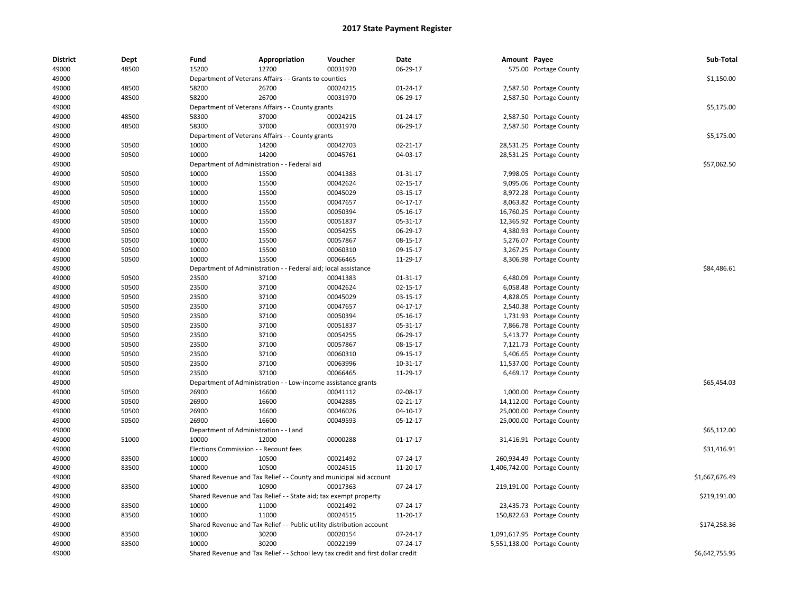| <b>District</b> | Dept  | Fund                           | Appropriation                                                                    | Voucher                        | Date           | Amount Payee |                             | Sub-Total      |
|-----------------|-------|--------------------------------|----------------------------------------------------------------------------------|--------------------------------|----------------|--------------|-----------------------------|----------------|
| 49000           | 48500 | 15200                          | 12700                                                                            | 00031970                       | 06-29-17       |              | 575.00 Portage County       |                |
| 49000           |       |                                | Department of Veterans Affairs - - Grants to counties                            |                                |                |              |                             | \$1,150.00     |
| 49000           | 48500 | 58200                          | 26700                                                                            | 00024215                       | 01-24-17       |              | 2,587.50 Portage County     |                |
| 49000           | 48500 | 58200                          | 26700                                                                            | 00031970                       | 06-29-17       |              | 2,587.50 Portage County     |                |
| 49000           |       |                                | Department of Veterans Affairs - - County grants                                 |                                |                |              |                             | \$5,175.00     |
| 49000           | 48500 | 58300                          | 37000                                                                            | 00024215                       | $01 - 24 - 17$ |              | 2,587.50 Portage County     |                |
| 49000           | 48500 | 58300                          | 37000                                                                            | 00031970                       | 06-29-17       |              | 2,587.50 Portage County     |                |
| 49000           |       |                                | Department of Veterans Affairs - - County grants                                 |                                |                |              |                             | \$5,175.00     |
| 49000           | 50500 | 10000                          | 14200                                                                            | 00042703                       | $02 - 21 - 17$ |              | 28,531.25 Portage County    |                |
| 49000           | 50500 | 10000                          | 14200                                                                            | 00045761                       | 04-03-17       |              | 28,531.25 Portage County    |                |
| 49000           |       |                                | Department of Administration - - Federal aid                                     |                                |                |              |                             | \$57,062.50    |
| 49000           | 50500 | 10000                          | 15500                                                                            | 00041383                       | 01-31-17       |              | 7,998.05 Portage County     |                |
| 49000           | 50500 | 10000                          | 15500                                                                            | 00042624                       | $02 - 15 - 17$ |              | 9,095.06 Portage County     |                |
| 49000           | 50500 | 10000                          | 15500                                                                            | 00045029                       | 03-15-17       |              | 8,972.28 Portage County     |                |
| 49000           | 50500 | 10000                          | 15500                                                                            | 00047657                       | 04-17-17       |              | 8,063.82 Portage County     |                |
| 49000           | 50500 | 10000                          | 15500                                                                            | 00050394                       | 05-16-17       |              | 16,760.25 Portage County    |                |
| 49000           | 50500 | 10000                          | 15500                                                                            | 00051837                       | 05-31-17       |              | 12,365.92 Portage County    |                |
| 49000           | 50500 | 10000                          | 15500                                                                            | 00054255                       | 06-29-17       |              | 4,380.93 Portage County     |                |
| 49000           | 50500 | 10000                          | 15500                                                                            | 00057867                       | 08-15-17       |              | 5,276.07 Portage County     |                |
| 49000           | 50500 | 10000                          | 15500                                                                            | 00060310                       | 09-15-17       |              | 3,267.25 Portage County     |                |
| 49000           | 50500 | 10000                          | 15500                                                                            | 00066465                       | 11-29-17       |              | 8,306.98 Portage County     |                |
| 49000           |       |                                | Department of Administration - - Federal aid; local assistance                   |                                |                |              |                             | \$84,486.61    |
| 49000           | 50500 | 23500                          | 37100                                                                            | 00041383                       | 01-31-17       |              | 6,480.09 Portage County     |                |
| 49000           | 50500 | 23500                          | 37100                                                                            | 00042624                       | 02-15-17       |              | 6,058.48 Portage County     |                |
| 49000           | 50500 | 23500                          | 37100                                                                            | 00045029                       | 03-15-17       |              | 4,828.05 Portage County     |                |
| 49000           | 50500 | 23500                          | 37100                                                                            | 00047657                       | 04-17-17       |              | 2,540.38 Portage County     |                |
| 49000           | 50500 | 23500                          | 37100                                                                            | 00050394                       | 05-16-17       |              | 1,731.93 Portage County     |                |
| 49000           | 50500 | 23500                          | 37100                                                                            | 00051837                       | 05-31-17       |              | 7,866.78 Portage County     |                |
| 49000           | 50500 | 23500                          | 37100                                                                            | 00054255                       | 06-29-17       |              | 5,413.77 Portage County     |                |
| 49000           | 50500 | 23500                          | 37100                                                                            | 00057867                       | 08-15-17       |              | 7,121.73 Portage County     |                |
| 49000           | 50500 | 23500                          | 37100                                                                            | 00060310                       | 09-15-17       |              | 5,406.65 Portage County     |                |
| 49000           | 50500 | 23500                          | 37100                                                                            | 00063996                       | 10-31-17       |              | 11,537.00 Portage County    |                |
| 49000           | 50500 | 23500                          | 37100                                                                            | 00066465                       | 11-29-17       |              | 6,469.17 Portage County     |                |
| 49000           |       | Department of Administration - |                                                                                  | - Low-income assistance grants |                |              |                             | \$65,454.03    |
| 49000           | 50500 | 26900                          | 16600                                                                            | 00041112                       | 02-08-17       |              | 1,000.00 Portage County     |                |
| 49000           | 50500 | 26900                          | 16600                                                                            | 00042885                       | $02 - 21 - 17$ |              | 14,112.00 Portage County    |                |
| 49000           | 50500 | 26900                          | 16600                                                                            | 00046026                       | 04-10-17       |              | 25,000.00 Portage County    |                |
| 49000           | 50500 | 26900                          | 16600                                                                            | 00049593                       | 05-12-17       |              | 25,000.00 Portage County    |                |
| 49000           |       |                                | Department of Administration - - Land                                            |                                |                |              |                             | \$65,112.00    |
| 49000           | 51000 | 10000                          | 12000                                                                            | 00000288                       | $01 - 17 - 17$ |              | 31,416.91 Portage County    |                |
| 49000           |       |                                | Elections Commission - - Recount fees                                            |                                |                |              |                             | \$31,416.91    |
| 49000           | 83500 | 10000                          | 10500                                                                            | 00021492                       | 07-24-17       |              | 260,934.49 Portage County   |                |
| 49000           | 83500 | 10000                          | 10500                                                                            | 00024515                       | 11-20-17       |              | 1,406,742.00 Portage County |                |
| 49000           |       |                                | Shared Revenue and Tax Relief - - County and municipal aid account               |                                |                |              |                             | \$1,667,676.49 |
| 49000           | 83500 | 10000                          | 10900                                                                            | 00017363                       | 07-24-17       |              | 219,191.00 Portage County   |                |
| 49000           |       |                                | Shared Revenue and Tax Relief - - State aid; tax exempt property                 |                                |                |              |                             | \$219,191.00   |
| 49000           | 83500 | 10000                          | 11000                                                                            | 00021492                       | 07-24-17       |              | 23,435.73 Portage County    |                |
| 49000           | 83500 | 10000                          | 11000                                                                            | 00024515                       | 11-20-17       |              | 150,822.63 Portage County   |                |
| 49000           |       |                                | Shared Revenue and Tax Relief - - Public utility distribution account            |                                |                |              |                             | \$174,258.36   |
| 49000           | 83500 | 10000                          | 30200                                                                            | 00020154                       | 07-24-17       |              | 1,091,617.95 Portage County |                |
| 49000           | 83500 | 10000                          | 30200                                                                            | 00022199                       | 07-24-17       |              | 5,551,138.00 Portage County |                |
| 49000           |       |                                | Shared Revenue and Tax Relief - - School levy tax credit and first dollar credit |                                |                |              |                             | \$6,642,755.95 |
|                 |       |                                |                                                                                  |                                |                |              |                             |                |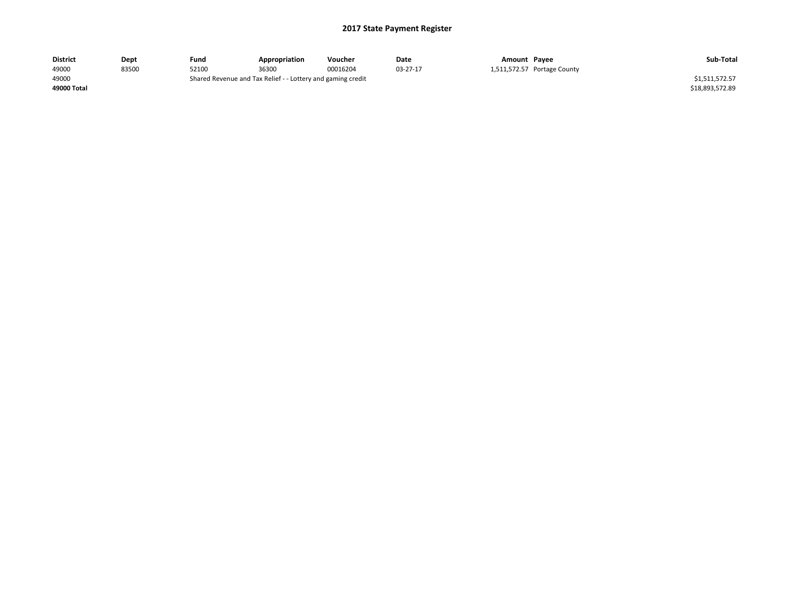| <b>District</b> | Dept  | Fund  | Appropriation                                               | Voucher  | Date     | Amount Payee |                             | Sub-Total       |
|-----------------|-------|-------|-------------------------------------------------------------|----------|----------|--------------|-----------------------------|-----------------|
| 49000           | 83500 | 52100 | 36300                                                       | 00016204 | 03-27-17 |              | 1,511,572.57 Portage County |                 |
| 49000           |       |       | Shared Revenue and Tax Relief - - Lottery and gaming credit |          |          |              |                             | \$1,511,572.57  |
| 49000 Total     |       |       |                                                             |          |          |              |                             | \$18,893,572.89 |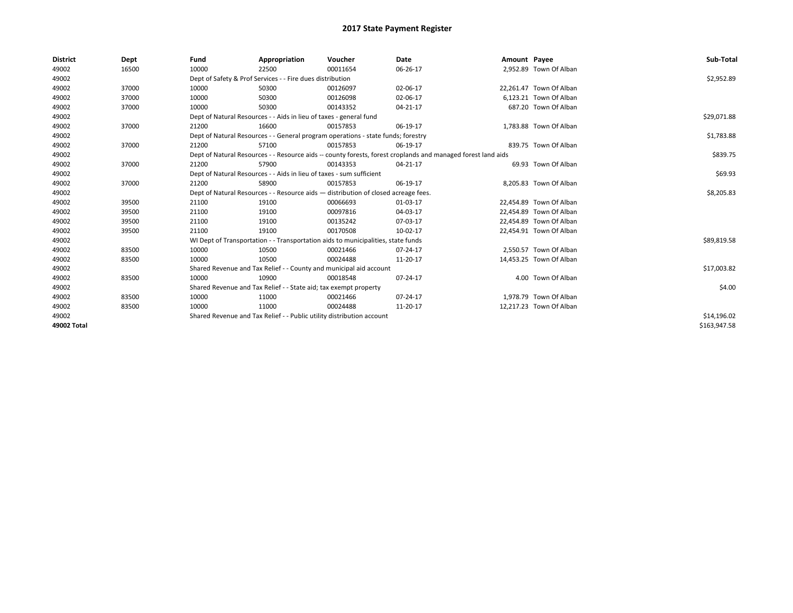| <b>District</b> | Dept  | Fund  | Appropriation                                                                      | Voucher  | Date                                                                                                         | Amount Payee |                         | Sub-Total    |
|-----------------|-------|-------|------------------------------------------------------------------------------------|----------|--------------------------------------------------------------------------------------------------------------|--------------|-------------------------|--------------|
| 49002           | 16500 | 10000 | 22500                                                                              | 00011654 | 06-26-17                                                                                                     |              | 2,952.89 Town Of Alban  |              |
| 49002           |       |       | Dept of Safety & Prof Services - - Fire dues distribution                          |          |                                                                                                              |              |                         | \$2,952.89   |
| 49002           | 37000 | 10000 | 50300                                                                              | 00126097 | 02-06-17                                                                                                     |              | 22,261.47 Town Of Alban |              |
| 49002           | 37000 | 10000 | 50300                                                                              | 00126098 | 02-06-17                                                                                                     |              | 6.123.21 Town Of Alban  |              |
| 49002           | 37000 | 10000 | 50300                                                                              | 00143352 | 04-21-17                                                                                                     |              | 687.20 Town Of Alban    |              |
| 49002           |       |       | Dept of Natural Resources - - Aids in lieu of taxes - general fund                 |          |                                                                                                              |              |                         | \$29,071.88  |
| 49002           | 37000 | 21200 | 16600                                                                              | 00157853 | 06-19-17                                                                                                     |              | 1,783.88 Town Of Alban  |              |
| 49002           |       |       | Dept of Natural Resources - - General program operations - state funds; forestry   |          |                                                                                                              |              |                         | \$1,783.88   |
| 49002           | 37000 | 21200 | 57100                                                                              | 00157853 | 06-19-17                                                                                                     |              | 839.75 Town Of Alban    |              |
| 49002           |       |       |                                                                                    |          | Dept of Natural Resources - - Resource aids -- county forests, forest croplands and managed forest land aids |              |                         | \$839.75     |
| 49002           | 37000 | 21200 | 57900                                                                              | 00143353 | 04-21-17                                                                                                     |              | 69.93 Town Of Alban     |              |
| 49002           |       |       | Dept of Natural Resources - - Aids in lieu of taxes - sum sufficient               |          |                                                                                                              |              |                         | \$69.93      |
| 49002           | 37000 | 21200 | 58900                                                                              | 00157853 | 06-19-17                                                                                                     |              | 8,205.83 Town Of Alban  |              |
| 49002           |       |       | Dept of Natural Resources - - Resource aids - distribution of closed acreage fees. |          |                                                                                                              |              |                         | \$8,205.83   |
| 49002           | 39500 | 21100 | 19100                                                                              | 00066693 | 01-03-17                                                                                                     |              | 22,454.89 Town Of Alban |              |
| 49002           | 39500 | 21100 | 19100                                                                              | 00097816 | 04-03-17                                                                                                     |              | 22.454.89 Town Of Alban |              |
| 49002           | 39500 | 21100 | 19100                                                                              | 00135242 | 07-03-17                                                                                                     |              | 22,454.89 Town Of Alban |              |
| 49002           | 39500 | 21100 | 19100                                                                              | 00170508 | 10-02-17                                                                                                     |              | 22,454.91 Town Of Alban |              |
| 49002           |       |       | WI Dept of Transportation - - Transportation aids to municipalities, state funds   |          |                                                                                                              |              |                         | \$89,819.58  |
| 49002           | 83500 | 10000 | 10500                                                                              | 00021466 | 07-24-17                                                                                                     |              | 2.550.57 Town Of Alban  |              |
| 49002           | 83500 | 10000 | 10500                                                                              | 00024488 | 11-20-17                                                                                                     |              | 14,453.25 Town Of Alban |              |
| 49002           |       |       | Shared Revenue and Tax Relief - - County and municipal aid account                 |          |                                                                                                              |              |                         | \$17,003.82  |
| 49002           | 83500 | 10000 | 10900                                                                              | 00018548 | 07-24-17                                                                                                     |              | 4.00 Town Of Alban      |              |
| 49002           |       |       | Shared Revenue and Tax Relief - - State aid; tax exempt property                   |          |                                                                                                              |              |                         | \$4.00       |
| 49002           | 83500 | 10000 | 11000                                                                              | 00021466 | 07-24-17                                                                                                     |              | 1,978.79 Town Of Alban  |              |
| 49002           | 83500 | 10000 | 11000                                                                              | 00024488 | 11-20-17                                                                                                     |              | 12,217.23 Town Of Alban |              |
| 49002           |       |       | Shared Revenue and Tax Relief - - Public utility distribution account              |          |                                                                                                              |              |                         | \$14,196.02  |
| 49002 Total     |       |       |                                                                                    |          |                                                                                                              |              |                         | \$163,947.58 |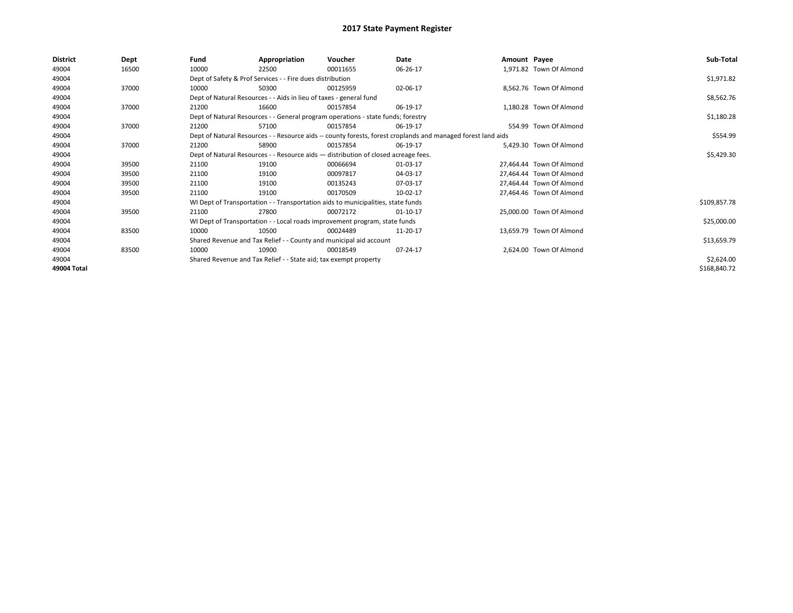| <b>District</b> | Dept  | Fund  | Appropriation                                                                                                | Voucher  | Date           | Amount Payee |                          | Sub-Total    |  |  |  |  |
|-----------------|-------|-------|--------------------------------------------------------------------------------------------------------------|----------|----------------|--------------|--------------------------|--------------|--|--|--|--|
| 49004           | 16500 | 10000 | 22500                                                                                                        | 00011655 | 06-26-17       |              | 1,971.82 Town Of Almond  |              |  |  |  |  |
| 49004           |       |       | Dept of Safety & Prof Services - - Fire dues distribution                                                    |          |                |              |                          | \$1,971.82   |  |  |  |  |
| 49004           | 37000 | 10000 | 50300                                                                                                        | 00125959 | 02-06-17       |              | 8,562.76 Town Of Almond  |              |  |  |  |  |
| 49004           |       |       | Dept of Natural Resources - - Aids in lieu of taxes - general fund                                           |          |                |              |                          | \$8,562.76   |  |  |  |  |
| 49004           | 37000 | 21200 | 16600                                                                                                        | 00157854 | 06-19-17       |              | 1,180.28 Town Of Almond  |              |  |  |  |  |
| 49004           |       |       | Dept of Natural Resources - - General program operations - state funds; forestry                             |          |                |              |                          | \$1,180.28   |  |  |  |  |
| 49004           | 37000 | 21200 | 57100                                                                                                        | 00157854 | 06-19-17       |              | 554.99 Town Of Almond    |              |  |  |  |  |
| 49004           |       |       | Dept of Natural Resources - - Resource aids -- county forests, forest croplands and managed forest land aids |          |                |              |                          |              |  |  |  |  |
| 49004           | 37000 | 21200 | 58900                                                                                                        | 00157854 | 06-19-17       |              | 5,429.30 Town Of Almond  |              |  |  |  |  |
| 49004           |       |       | Dept of Natural Resources - - Resource aids - distribution of closed acreage fees.                           |          |                |              |                          |              |  |  |  |  |
| 49004           | 39500 | 21100 | 19100                                                                                                        | 00066694 | 01-03-17       |              | 27,464.44 Town Of Almond |              |  |  |  |  |
| 49004           | 39500 | 21100 | 19100                                                                                                        | 00097817 | 04-03-17       |              | 27,464.44 Town Of Almond |              |  |  |  |  |
| 49004           | 39500 | 21100 | 19100                                                                                                        | 00135243 | 07-03-17       |              | 27,464.44 Town Of Almond |              |  |  |  |  |
| 49004           | 39500 | 21100 | 19100                                                                                                        | 00170509 | 10-02-17       |              | 27,464.46 Town Of Almond |              |  |  |  |  |
| 49004           |       |       | WI Dept of Transportation - - Transportation aids to municipalities, state funds                             |          |                |              |                          | \$109,857.78 |  |  |  |  |
| 49004           | 39500 | 21100 | 27800                                                                                                        | 00072172 | $01 - 10 - 17$ |              | 25,000.00 Town Of Almond |              |  |  |  |  |
| 49004           |       |       | WI Dept of Transportation - - Local roads improvement program, state funds                                   |          |                |              |                          | \$25,000.00  |  |  |  |  |
| 49004           | 83500 | 10000 | 10500                                                                                                        | 00024489 | 11-20-17       |              | 13,659.79 Town Of Almond |              |  |  |  |  |
| 49004           |       |       | Shared Revenue and Tax Relief - - County and municipal aid account                                           |          |                |              |                          | \$13,659.79  |  |  |  |  |
| 49004           | 83500 | 10000 | 10900                                                                                                        | 00018549 | 07-24-17       |              | 2,624.00 Town Of Almond  |              |  |  |  |  |
| 49004           |       |       | Shared Revenue and Tax Relief - - State aid; tax exempt property                                             |          |                |              |                          | \$2,624.00   |  |  |  |  |
| 49004 Total     |       |       |                                                                                                              |          |                |              |                          | \$168,840.72 |  |  |  |  |
|                 |       |       |                                                                                                              |          |                |              |                          |              |  |  |  |  |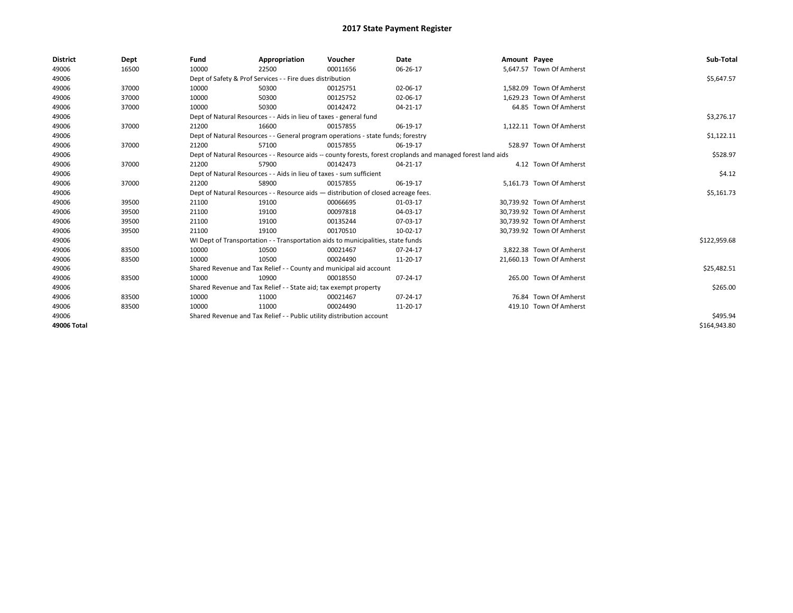| <b>District</b> | Dept  | Fund  | Appropriation                                                                                                | Voucher  | Date     | Amount Payee |                           | Sub-Total    |
|-----------------|-------|-------|--------------------------------------------------------------------------------------------------------------|----------|----------|--------------|---------------------------|--------------|
| 49006           | 16500 | 10000 | 22500                                                                                                        | 00011656 | 06-26-17 |              | 5,647.57 Town Of Amherst  |              |
| 49006           |       |       | Dept of Safety & Prof Services - - Fire dues distribution                                                    |          |          |              |                           | \$5,647.57   |
| 49006           | 37000 | 10000 | 50300                                                                                                        | 00125751 | 02-06-17 |              | 1.582.09 Town Of Amherst  |              |
| 49006           | 37000 | 10000 | 50300                                                                                                        | 00125752 | 02-06-17 |              | 1.629.23 Town Of Amherst  |              |
| 49006           | 37000 | 10000 | 50300                                                                                                        | 00142472 | 04-21-17 |              | 64.85 Town Of Amherst     |              |
| 49006           |       |       | Dept of Natural Resources - - Aids in lieu of taxes - general fund                                           |          |          |              |                           | \$3,276.17   |
| 49006           | 37000 | 21200 | 16600                                                                                                        | 00157855 | 06-19-17 |              | 1,122.11 Town Of Amherst  |              |
| 49006           |       |       | Dept of Natural Resources - - General program operations - state funds; forestry                             |          |          |              |                           | \$1,122.11   |
| 49006           | 37000 | 21200 | 57100                                                                                                        | 00157855 | 06-19-17 |              | 528.97 Town Of Amherst    |              |
| 49006           |       |       | Dept of Natural Resources - - Resource aids -- county forests, forest croplands and managed forest land aids |          | \$528.97 |              |                           |              |
| 49006           | 37000 | 21200 | 57900                                                                                                        | 00142473 | 04-21-17 |              | 4.12 Town Of Amherst      |              |
| 49006           |       |       | Dept of Natural Resources - - Aids in lieu of taxes - sum sufficient                                         |          |          |              |                           | \$4.12       |
| 49006           | 37000 | 21200 | 58900                                                                                                        | 00157855 | 06-19-17 |              | 5,161.73 Town Of Amherst  |              |
| 49006           |       |       | Dept of Natural Resources - - Resource aids - distribution of closed acreage fees.                           |          |          |              |                           | \$5,161.73   |
| 49006           | 39500 | 21100 | 19100                                                                                                        | 00066695 | 01-03-17 |              | 30,739.92 Town Of Amherst |              |
| 49006           | 39500 | 21100 | 19100                                                                                                        | 00097818 | 04-03-17 |              | 30.739.92 Town Of Amherst |              |
| 49006           | 39500 | 21100 | 19100                                                                                                        | 00135244 | 07-03-17 |              | 30,739.92 Town Of Amherst |              |
| 49006           | 39500 | 21100 | 19100                                                                                                        | 00170510 | 10-02-17 |              | 30,739.92 Town Of Amherst |              |
| 49006           |       |       | WI Dept of Transportation - - Transportation aids to municipalities, state funds                             |          |          |              |                           | \$122,959.68 |
| 49006           | 83500 | 10000 | 10500                                                                                                        | 00021467 | 07-24-17 |              | 3.822.38 Town Of Amherst  |              |
| 49006           | 83500 | 10000 | 10500                                                                                                        | 00024490 | 11-20-17 |              | 21,660.13 Town Of Amherst |              |
| 49006           |       |       | Shared Revenue and Tax Relief - - County and municipal aid account                                           |          |          |              |                           | \$25,482.51  |
| 49006           | 83500 | 10000 | 10900                                                                                                        | 00018550 | 07-24-17 |              | 265.00 Town Of Amherst    |              |
| 49006           |       |       | Shared Revenue and Tax Relief - - State aid; tax exempt property                                             |          |          |              |                           | \$265.00     |
| 49006           | 83500 | 10000 | 11000                                                                                                        | 00021467 | 07-24-17 |              | 76.84 Town Of Amherst     |              |
| 49006           | 83500 | 10000 | 11000                                                                                                        | 00024490 | 11-20-17 |              | 419.10 Town Of Amherst    |              |
| 49006           |       |       | Shared Revenue and Tax Relief - - Public utility distribution account                                        |          |          |              |                           | \$495.94     |
| 49006 Total     |       |       |                                                                                                              |          |          |              |                           | \$164.943.80 |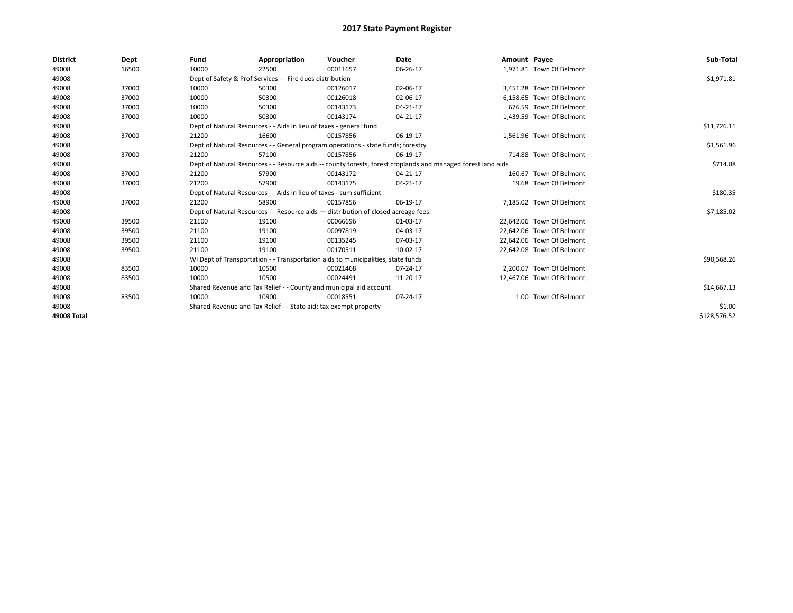| <b>District</b> | Dept  | Fund  | Appropriation                                                        | Voucher                                                                            | <b>Date</b>                                                                                                  | Amount Payee |                           | Sub-Total    |
|-----------------|-------|-------|----------------------------------------------------------------------|------------------------------------------------------------------------------------|--------------------------------------------------------------------------------------------------------------|--------------|---------------------------|--------------|
| 49008           | 16500 | 10000 | 22500                                                                | 00011657                                                                           | 06-26-17                                                                                                     |              | 1,971.81 Town Of Belmont  |              |
| 49008           |       |       | Dept of Safety & Prof Services - - Fire dues distribution            |                                                                                    |                                                                                                              |              |                           | \$1,971.81   |
| 49008           | 37000 | 10000 | 50300                                                                | 00126017                                                                           | 02-06-17                                                                                                     |              | 3,451.28 Town Of Belmont  |              |
| 49008           | 37000 | 10000 | 50300                                                                | 00126018                                                                           | 02-06-17                                                                                                     |              | 6,158.65 Town Of Belmont  |              |
| 49008           | 37000 | 10000 | 50300                                                                | 00143173                                                                           | 04-21-17                                                                                                     |              | 676.59 Town Of Belmont    |              |
| 49008           | 37000 | 10000 | 50300                                                                | 00143174                                                                           | 04-21-17                                                                                                     |              | 1.439.59 Town Of Belmont  |              |
| 49008           |       |       | Dept of Natural Resources - - Aids in lieu of taxes - general fund   |                                                                                    |                                                                                                              |              |                           | \$11,726.11  |
| 49008           | 37000 | 21200 | 16600                                                                | 00157856                                                                           | 06-19-17                                                                                                     |              | 1,561.96 Town Of Belmont  |              |
| 49008           |       |       |                                                                      | Dept of Natural Resources - - General program operations - state funds; forestry   |                                                                                                              |              |                           | \$1,561.96   |
| 49008           | 37000 | 21200 | 57100                                                                | 00157856                                                                           | 06-19-17                                                                                                     |              | 714.88 Town Of Belmont    |              |
| 49008           |       |       |                                                                      |                                                                                    | Dept of Natural Resources - - Resource aids -- county forests, forest croplands and managed forest land aids |              |                           | \$714.88     |
| 49008           | 37000 | 21200 | 57900                                                                | 00143172                                                                           | 04-21-17                                                                                                     |              | 160.67 Town Of Belmont    |              |
| 49008           | 37000 | 21200 | 57900                                                                | 00143175                                                                           | 04-21-17                                                                                                     |              | 19.68 Town Of Belmont     |              |
| 49008           |       |       | Dept of Natural Resources - - Aids in lieu of taxes - sum sufficient |                                                                                    |                                                                                                              |              |                           | \$180.35     |
| 49008           | 37000 | 21200 | 58900                                                                | 00157856                                                                           | 06-19-17                                                                                                     |              | 7.185.02 Town Of Belmont  |              |
| 49008           |       |       |                                                                      | Dept of Natural Resources - - Resource aids - distribution of closed acreage fees. |                                                                                                              |              |                           | \$7,185.02   |
| 49008           | 39500 | 21100 | 19100                                                                | 00066696                                                                           | 01-03-17                                                                                                     |              | 22,642.06 Town Of Belmont |              |
| 49008           | 39500 | 21100 | 19100                                                                | 00097819                                                                           | 04-03-17                                                                                                     |              | 22.642.06 Town Of Belmont |              |
| 49008           | 39500 | 21100 | 19100                                                                | 00135245                                                                           | 07-03-17                                                                                                     |              | 22.642.06 Town Of Belmont |              |
| 49008           | 39500 | 21100 | 19100                                                                | 00170511                                                                           | 10-02-17                                                                                                     |              | 22.642.08 Town Of Belmont |              |
| 49008           |       |       |                                                                      | WI Dept of Transportation - - Transportation aids to municipalities, state funds   |                                                                                                              |              |                           | \$90,568.26  |
| 49008           | 83500 | 10000 | 10500                                                                | 00021468                                                                           | 07-24-17                                                                                                     |              | 2,200.07 Town Of Belmont  |              |
| 49008           | 83500 | 10000 | 10500                                                                | 00024491                                                                           | 11-20-17                                                                                                     |              | 12,467.06 Town Of Belmont |              |
| 49008           |       |       |                                                                      | Shared Revenue and Tax Relief - - County and municipal aid account                 |                                                                                                              |              |                           | \$14,667.13  |
| 49008           | 83500 | 10000 | 10900                                                                | 00018551                                                                           | 07-24-17                                                                                                     |              | 1.00 Town Of Belmont      |              |
| 49008           |       |       | Shared Revenue and Tax Relief - - State aid; tax exempt property     |                                                                                    |                                                                                                              |              |                           | \$1.00       |
| 49008 Total     |       |       |                                                                      |                                                                                    |                                                                                                              |              |                           | \$128,576.52 |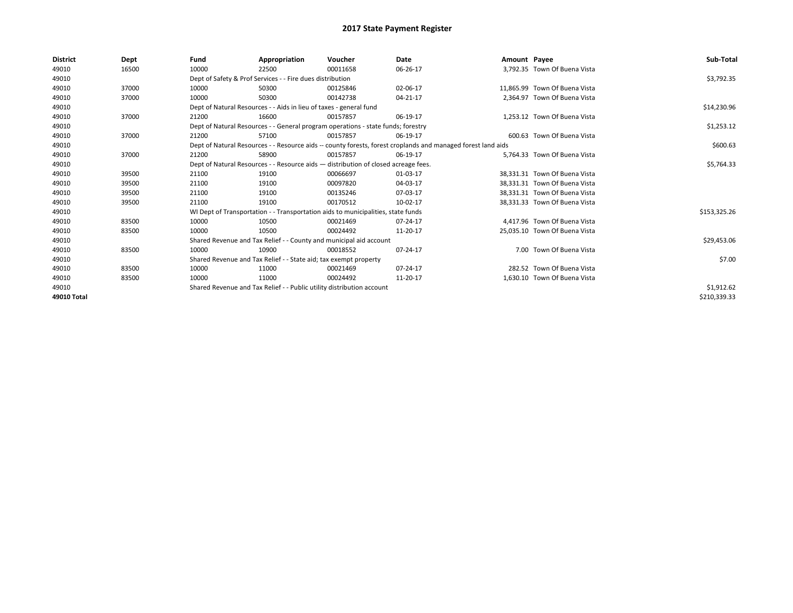| <b>District</b> | Dept  | Fund                                                                                                         | Appropriation                                                                    | Voucher    | Date     | Amount Payee |                               | Sub-Total    |
|-----------------|-------|--------------------------------------------------------------------------------------------------------------|----------------------------------------------------------------------------------|------------|----------|--------------|-------------------------------|--------------|
| 49010           | 16500 | 10000                                                                                                        | 22500                                                                            | 00011658   | 06-26-17 |              | 3.792.35 Town Of Buena Vista  |              |
| 49010           |       |                                                                                                              | Dept of Safety & Prof Services - - Fire dues distribution                        |            |          |              |                               | \$3,792.35   |
| 49010           | 37000 | 10000                                                                                                        | 50300                                                                            | 00125846   | 02-06-17 |              | 11,865.99 Town Of Buena Vista |              |
| 49010           | 37000 | 10000                                                                                                        | 50300                                                                            | 00142738   | 04-21-17 |              | 2,364.97 Town Of Buena Vista  |              |
| 49010           |       |                                                                                                              | Dept of Natural Resources - - Aids in lieu of taxes - general fund               |            |          |              |                               | \$14,230.96  |
| 49010           | 37000 | 21200                                                                                                        | 16600                                                                            | 00157857   | 06-19-17 |              | 1,253.12 Town Of Buena Vista  |              |
| 49010           |       | Dept of Natural Resources - - General program operations - state funds; forestry                             |                                                                                  | \$1,253.12 |          |              |                               |              |
| 49010           | 37000 | 21200                                                                                                        | 57100                                                                            | 00157857   | 06-19-17 |              | 600.63 Town Of Buena Vista    |              |
| 49010           |       | Dept of Natural Resources - - Resource aids -- county forests, forest croplands and managed forest land aids |                                                                                  | \$600.63   |          |              |                               |              |
| 49010           | 37000 | 21200                                                                                                        | 58900                                                                            | 00157857   | 06-19-17 |              | 5,764.33 Town Of Buena Vista  |              |
| 49010           |       | Dept of Natural Resources - - Resource aids - distribution of closed acreage fees.                           |                                                                                  | \$5,764.33 |          |              |                               |              |
| 49010           | 39500 | 21100                                                                                                        | 19100                                                                            | 00066697   | 01-03-17 |              | 38,331.31 Town Of Buena Vista |              |
| 49010           | 39500 | 21100                                                                                                        | 19100                                                                            | 00097820   | 04-03-17 |              | 38.331.31 Town Of Buena Vista |              |
| 49010           | 39500 | 21100                                                                                                        | 19100                                                                            | 00135246   | 07-03-17 |              | 38,331.31 Town Of Buena Vista |              |
| 49010           | 39500 | 21100                                                                                                        | 19100                                                                            | 00170512   | 10-02-17 |              | 38,331.33 Town Of Buena Vista |              |
| 49010           |       |                                                                                                              | WI Dept of Transportation - - Transportation aids to municipalities, state funds |            |          |              |                               | \$153,325.26 |
| 49010           | 83500 | 10000                                                                                                        | 10500                                                                            | 00021469   | 07-24-17 |              | 4,417.96 Town Of Buena Vista  |              |
| 49010           | 83500 | 10000                                                                                                        | 10500                                                                            | 00024492   | 11-20-17 |              | 25,035.10 Town Of Buena Vista |              |
| 49010           |       |                                                                                                              | Shared Revenue and Tax Relief - - County and municipal aid account               |            |          |              |                               | \$29,453.06  |
| 49010           | 83500 | 10000                                                                                                        | 10900                                                                            | 00018552   | 07-24-17 |              | 7.00 Town Of Buena Vista      |              |
| 49010           |       |                                                                                                              | Shared Revenue and Tax Relief - - State aid; tax exempt property                 |            |          |              |                               | \$7.00       |
| 49010           | 83500 | 10000                                                                                                        | 11000                                                                            | 00021469   | 07-24-17 |              | 282.52 Town Of Buena Vista    |              |
| 49010           | 83500 | 10000                                                                                                        | 11000                                                                            | 00024492   | 11-20-17 |              | 1,630.10 Town Of Buena Vista  |              |
| 49010           |       |                                                                                                              | Shared Revenue and Tax Relief - - Public utility distribution account            |            |          |              |                               | \$1,912.62   |
| 49010 Total     |       |                                                                                                              |                                                                                  |            |          |              |                               | \$210,339.33 |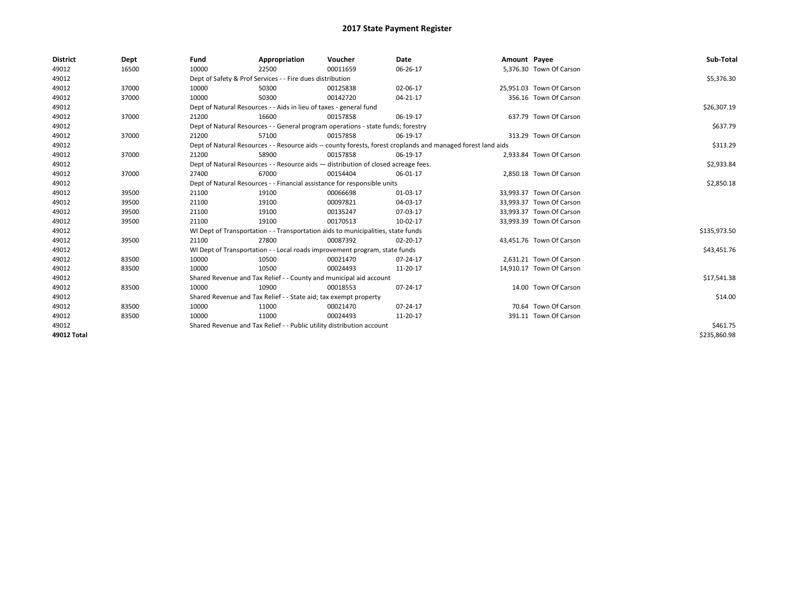| <b>District</b> | Dept  | Fund  | Appropriation                                                                                                | Voucher  | Date     | Amount Payee |                          | Sub-Total    |  |  |
|-----------------|-------|-------|--------------------------------------------------------------------------------------------------------------|----------|----------|--------------|--------------------------|--------------|--|--|
| 49012           | 16500 | 10000 | 22500                                                                                                        | 00011659 | 06-26-17 |              | 5,376.30 Town Of Carson  |              |  |  |
| 49012           |       |       | Dept of Safety & Prof Services - - Fire dues distribution                                                    |          |          |              |                          | \$5,376.30   |  |  |
| 49012           | 37000 | 10000 | 50300                                                                                                        | 00125838 | 02-06-17 |              | 25,951.03 Town Of Carson |              |  |  |
| 49012           | 37000 | 10000 | 50300                                                                                                        | 00142720 | 04-21-17 |              | 356.16 Town Of Carson    |              |  |  |
| 49012           |       |       | Dept of Natural Resources - - Aids in lieu of taxes - general fund                                           |          |          |              |                          |              |  |  |
| 49012           | 37000 | 21200 | 16600                                                                                                        | 00157858 | 06-19-17 |              | 637.79 Town Of Carson    |              |  |  |
| 49012           |       |       | Dept of Natural Resources - - General program operations - state funds; forestry                             |          |          |              |                          | \$637.79     |  |  |
| 49012           | 37000 | 21200 | 57100                                                                                                        | 00157858 | 06-19-17 |              | 313.29 Town Of Carson    |              |  |  |
| 49012           |       |       | Dept of Natural Resources - - Resource aids -- county forests, forest croplands and managed forest land aids |          | \$313.29 |              |                          |              |  |  |
| 49012           | 37000 | 21200 | 58900                                                                                                        | 00157858 | 06-19-17 |              | 2,933.84 Town Of Carson  |              |  |  |
| 49012           |       |       | Dept of Natural Resources - - Resource aids - distribution of closed acreage fees.                           |          |          |              |                          | \$2,933.84   |  |  |
| 49012           | 37000 | 27400 | 67000                                                                                                        | 00154404 | 06-01-17 |              | 2,850.18 Town Of Carson  |              |  |  |
| 49012           |       |       | Dept of Natural Resources - - Financial assistance for responsible units                                     |          |          |              |                          |              |  |  |
| 49012           | 39500 | 21100 | 19100                                                                                                        | 00066698 | 01-03-17 |              | 33.993.37 Town Of Carson |              |  |  |
| 49012           | 39500 | 21100 | 19100                                                                                                        | 00097821 | 04-03-17 |              | 33,993.37 Town Of Carson |              |  |  |
| 49012           | 39500 | 21100 | 19100                                                                                                        | 00135247 | 07-03-17 |              | 33,993.37 Town Of Carson |              |  |  |
| 49012           | 39500 | 21100 | 19100                                                                                                        | 00170513 | 10-02-17 |              | 33,993.39 Town Of Carson |              |  |  |
| 49012           |       |       | WI Dept of Transportation - - Transportation aids to municipalities, state funds                             |          |          |              |                          | \$135,973.50 |  |  |
| 49012           | 39500 | 21100 | 27800                                                                                                        | 00087392 | 02-20-17 |              | 43,451.76 Town Of Carson |              |  |  |
| 49012           |       |       | WI Dept of Transportation - - Local roads improvement program, state funds                                   |          |          |              |                          | \$43,451.76  |  |  |
| 49012           | 83500 | 10000 | 10500                                                                                                        | 00021470 | 07-24-17 |              | 2,631.21 Town Of Carson  |              |  |  |
| 49012           | 83500 | 10000 | 10500                                                                                                        | 00024493 | 11-20-17 |              | 14,910.17 Town Of Carson |              |  |  |
| 49012           |       |       | Shared Revenue and Tax Relief - - County and municipal aid account                                           |          |          |              |                          | \$17,541.38  |  |  |
| 49012           | 83500 | 10000 | 10900                                                                                                        | 00018553 | 07-24-17 |              | 14.00 Town Of Carson     |              |  |  |
| 49012           |       |       | Shared Revenue and Tax Relief - - State aid; tax exempt property                                             |          |          |              |                          | \$14.00      |  |  |
| 49012           | 83500 | 10000 | 11000                                                                                                        | 00021470 | 07-24-17 |              | 70.64 Town Of Carson     |              |  |  |
| 49012           | 83500 | 10000 | 11000                                                                                                        | 00024493 | 11-20-17 |              | 391.11 Town Of Carson    |              |  |  |
| 49012           |       |       | Shared Revenue and Tax Relief - - Public utility distribution account                                        |          |          |              |                          | \$461.75     |  |  |
| 49012 Total     |       |       |                                                                                                              |          |          |              |                          | \$235,860.98 |  |  |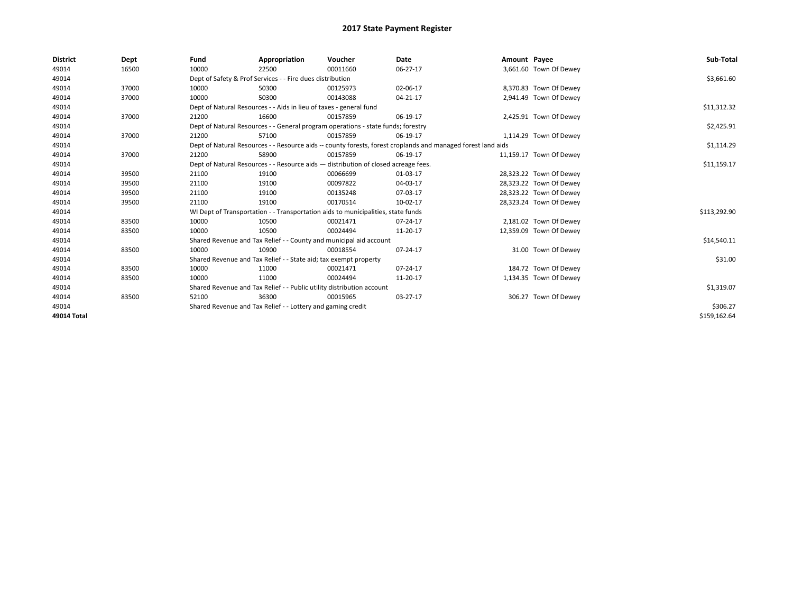| <b>District</b> | Dept  | Fund                                                                             | Appropriation                                                                      | Voucher     | Date                                                                                                         | Amount Payee |                         | Sub-Total    |
|-----------------|-------|----------------------------------------------------------------------------------|------------------------------------------------------------------------------------|-------------|--------------------------------------------------------------------------------------------------------------|--------------|-------------------------|--------------|
| 49014           | 16500 | 10000                                                                            | 22500                                                                              | 00011660    | 06-27-17                                                                                                     |              | 3,661.60 Town Of Dewey  |              |
| 49014           |       |                                                                                  | Dept of Safety & Prof Services - - Fire dues distribution                          |             |                                                                                                              |              |                         | \$3,661.60   |
| 49014           | 37000 | 10000                                                                            | 50300                                                                              | 00125973    | 02-06-17                                                                                                     |              | 8,370.83 Town Of Dewey  |              |
| 49014           | 37000 | 10000                                                                            | 50300                                                                              | 00143088    | 04-21-17                                                                                                     |              | 2,941.49 Town Of Dewey  |              |
| 49014           |       | Dept of Natural Resources - - Aids in lieu of taxes - general fund               |                                                                                    | \$11,312.32 |                                                                                                              |              |                         |              |
| 49014           | 37000 | 21200                                                                            | 16600                                                                              | 00157859    | 06-19-17                                                                                                     |              | 2,425.91 Town Of Dewey  |              |
| 49014           |       | Dept of Natural Resources - - General program operations - state funds; forestry |                                                                                    | \$2,425.91  |                                                                                                              |              |                         |              |
| 49014           | 37000 | 21200                                                                            | 57100                                                                              | 00157859    | 06-19-17                                                                                                     |              | 1,114.29 Town Of Dewey  |              |
| 49014           |       |                                                                                  |                                                                                    |             | Dept of Natural Resources - - Resource aids -- county forests, forest croplands and managed forest land aids |              |                         | \$1,114.29   |
| 49014           | 37000 | 21200                                                                            | 58900                                                                              | 00157859    | 06-19-17                                                                                                     |              | 11,159.17 Town Of Dewey |              |
| 49014           |       |                                                                                  | Dept of Natural Resources - - Resource aids - distribution of closed acreage fees. |             |                                                                                                              |              |                         | \$11,159.17  |
| 49014           | 39500 | 21100                                                                            | 19100                                                                              | 00066699    | 01-03-17                                                                                                     |              | 28,323.22 Town Of Dewey |              |
| 49014           | 39500 | 21100                                                                            | 19100                                                                              | 00097822    | 04-03-17                                                                                                     |              | 28,323.22 Town Of Dewey |              |
| 49014           | 39500 | 21100                                                                            | 19100                                                                              | 00135248    | 07-03-17                                                                                                     |              | 28,323.22 Town Of Dewey |              |
| 49014           | 39500 | 21100                                                                            | 19100                                                                              | 00170514    | 10-02-17                                                                                                     |              | 28,323.24 Town Of Dewey |              |
| 49014           |       |                                                                                  | WI Dept of Transportation - - Transportation aids to municipalities, state funds   |             |                                                                                                              |              |                         | \$113,292.90 |
| 49014           | 83500 | 10000                                                                            | 10500                                                                              | 00021471    | 07-24-17                                                                                                     |              | 2,181.02 Town Of Dewey  |              |
| 49014           | 83500 | 10000                                                                            | 10500                                                                              | 00024494    | 11-20-17                                                                                                     |              | 12,359.09 Town Of Dewey |              |
| 49014           |       |                                                                                  | Shared Revenue and Tax Relief - - County and municipal aid account                 |             |                                                                                                              |              |                         | \$14,540.11  |
| 49014           | 83500 | 10000                                                                            | 10900                                                                              | 00018554    | 07-24-17                                                                                                     |              | 31.00 Town Of Dewey     |              |
| 49014           |       |                                                                                  | Shared Revenue and Tax Relief - - State aid; tax exempt property                   |             |                                                                                                              |              |                         | \$31.00      |
| 49014           | 83500 | 10000                                                                            | 11000                                                                              | 00021471    | 07-24-17                                                                                                     |              | 184.72 Town Of Dewey    |              |
| 49014           | 83500 | 10000                                                                            | 11000                                                                              | 00024494    | 11-20-17                                                                                                     |              | 1,134.35 Town Of Dewey  |              |
| 49014           |       |                                                                                  | Shared Revenue and Tax Relief - - Public utility distribution account              |             |                                                                                                              |              |                         | \$1,319.07   |
| 49014           | 83500 | 52100                                                                            | 36300                                                                              | 00015965    | 03-27-17                                                                                                     |              | 306.27 Town Of Dewey    |              |
| 49014           |       |                                                                                  | Shared Revenue and Tax Relief - - Lottery and gaming credit                        |             |                                                                                                              |              |                         | \$306.27     |
| 49014 Total     |       |                                                                                  |                                                                                    |             |                                                                                                              |              |                         | \$159,162.64 |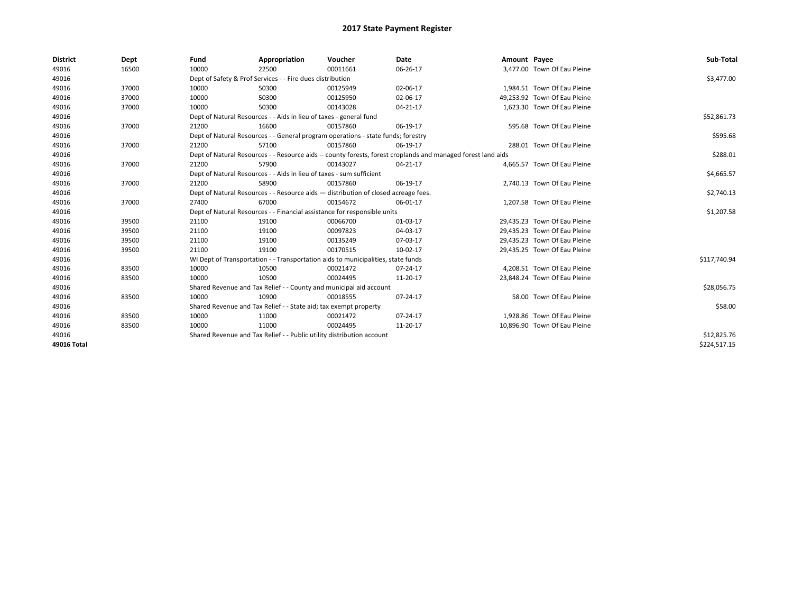| <b>District</b> | Dept  | Fund                                                                  | Appropriation                                                                      | Voucher     | <b>Date</b>                                                                                                  | Amount Payee |                              | Sub-Total    |
|-----------------|-------|-----------------------------------------------------------------------|------------------------------------------------------------------------------------|-------------|--------------------------------------------------------------------------------------------------------------|--------------|------------------------------|--------------|
| 49016           | 16500 | 10000                                                                 | 22500                                                                              | 00011661    | 06-26-17                                                                                                     |              | 3,477.00 Town Of Eau Pleine  |              |
| 49016           |       |                                                                       | Dept of Safety & Prof Services - - Fire dues distribution                          |             |                                                                                                              |              |                              | \$3,477.00   |
| 49016           | 37000 | 10000                                                                 | 50300                                                                              | 00125949    | 02-06-17                                                                                                     |              | 1,984.51 Town Of Eau Pleine  |              |
| 49016           | 37000 | 10000                                                                 | 50300                                                                              | 00125950    | 02-06-17                                                                                                     |              | 49,253.92 Town Of Eau Pleine |              |
| 49016           | 37000 | 10000                                                                 | 50300                                                                              | 00143028    | 04-21-17                                                                                                     |              | 1,623.30 Town Of Eau Pleine  |              |
| 49016           |       |                                                                       | Dept of Natural Resources - - Aids in lieu of taxes - general fund                 |             |                                                                                                              |              |                              | \$52,861.73  |
| 49016           | 37000 | 21200                                                                 | 16600                                                                              | 00157860    | 06-19-17                                                                                                     |              | 595.68 Town Of Eau Pleine    |              |
| 49016           |       |                                                                       | Dept of Natural Resources - - General program operations - state funds; forestry   |             |                                                                                                              |              |                              | \$595.68     |
| 49016           | 37000 | 21200                                                                 | 57100                                                                              | 00157860    | 06-19-17                                                                                                     |              | 288.01 Town Of Eau Pleine    |              |
| 49016           |       |                                                                       |                                                                                    |             | Dept of Natural Resources - - Resource aids -- county forests, forest croplands and managed forest land aids |              |                              | \$288.01     |
| 49016           | 37000 | 21200                                                                 | 57900                                                                              | 00143027    | 04-21-17                                                                                                     |              | 4.665.57 Town Of Eau Pleine  |              |
| 49016           |       |                                                                       | Dept of Natural Resources - - Aids in lieu of taxes - sum sufficient               |             |                                                                                                              |              |                              | \$4,665.57   |
| 49016           | 37000 | 21200                                                                 | 58900                                                                              | 00157860    | 06-19-17                                                                                                     |              | 2,740.13 Town Of Eau Pleine  |              |
| 49016           |       |                                                                       | Dept of Natural Resources - - Resource aids - distribution of closed acreage fees. |             |                                                                                                              |              |                              | \$2,740.13   |
| 49016           | 37000 | 27400                                                                 | 67000                                                                              | 00154672    | 06-01-17                                                                                                     |              | 1.207.58 Town Of Eau Pleine  |              |
| 49016           |       |                                                                       | Dept of Natural Resources - - Financial assistance for responsible units           |             |                                                                                                              |              |                              | \$1,207.58   |
| 49016           | 39500 | 21100                                                                 | 19100                                                                              | 00066700    | 01-03-17                                                                                                     |              | 29,435.23 Town Of Eau Pleine |              |
| 49016           | 39500 | 21100                                                                 | 19100                                                                              | 00097823    | 04-03-17                                                                                                     |              | 29,435.23 Town Of Eau Pleine |              |
| 49016           | 39500 | 21100                                                                 | 19100                                                                              | 00135249    | 07-03-17                                                                                                     |              | 29,435.23 Town Of Eau Pleine |              |
| 49016           | 39500 | 21100                                                                 | 19100                                                                              | 00170515    | 10-02-17                                                                                                     |              | 29,435.25 Town Of Eau Pleine |              |
| 49016           |       |                                                                       | WI Dept of Transportation - - Transportation aids to municipalities, state funds   |             |                                                                                                              |              |                              | \$117,740.94 |
| 49016           | 83500 | 10000                                                                 | 10500                                                                              | 00021472    | 07-24-17                                                                                                     |              | 4,208.51 Town Of Eau Pleine  |              |
| 49016           | 83500 | 10000                                                                 | 10500                                                                              | 00024495    | 11-20-17                                                                                                     |              | 23,848.24 Town Of Eau Pleine |              |
| 49016           |       |                                                                       | Shared Revenue and Tax Relief - - County and municipal aid account                 |             |                                                                                                              |              |                              | \$28,056.75  |
| 49016           | 83500 | 10000                                                                 | 10900                                                                              | 00018555    | 07-24-17                                                                                                     |              | 58.00 Town Of Eau Pleine     |              |
| 49016           |       |                                                                       | Shared Revenue and Tax Relief - - State aid; tax exempt property                   |             |                                                                                                              |              |                              | \$58.00      |
| 49016           | 83500 | 10000                                                                 | 11000                                                                              | 00021472    | 07-24-17                                                                                                     |              | 1.928.86 Town Of Eau Pleine  |              |
| 49016           | 83500 | 10000                                                                 | 11000                                                                              | 00024495    | 11-20-17                                                                                                     |              | 10,896.90 Town Of Eau Pleine |              |
| 49016           |       | Shared Revenue and Tax Relief - - Public utility distribution account |                                                                                    | \$12,825.76 |                                                                                                              |              |                              |              |
| 49016 Total     |       |                                                                       |                                                                                    |             |                                                                                                              |              |                              | \$224,517.15 |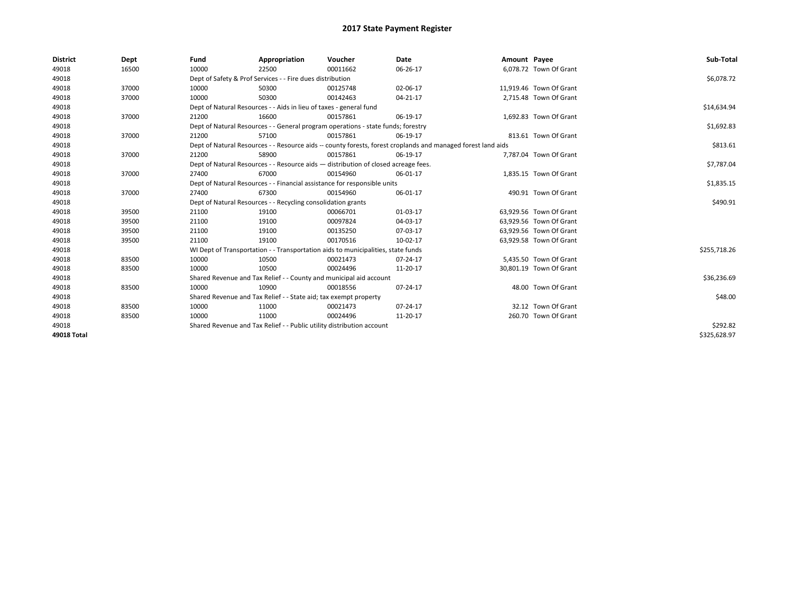| <b>District</b>    | Dept  | Fund                                                                     | Appropriation                                                                      | Voucher    | Date                                                                                                         | Amount Payee |                         | Sub-Total    |
|--------------------|-------|--------------------------------------------------------------------------|------------------------------------------------------------------------------------|------------|--------------------------------------------------------------------------------------------------------------|--------------|-------------------------|--------------|
| 49018              | 16500 | 10000                                                                    | 22500                                                                              | 00011662   | 06-26-17                                                                                                     |              | 6,078.72 Town Of Grant  |              |
| 49018              |       |                                                                          | Dept of Safety & Prof Services - - Fire dues distribution                          |            |                                                                                                              |              |                         | \$6,078.72   |
| 49018              | 37000 | 10000                                                                    | 50300                                                                              | 00125748   | 02-06-17                                                                                                     |              | 11,919.46 Town Of Grant |              |
| 49018              | 37000 | 10000                                                                    | 50300                                                                              | 00142463   | 04-21-17                                                                                                     |              | 2,715.48 Town Of Grant  |              |
| 49018              |       |                                                                          | Dept of Natural Resources - - Aids in lieu of taxes - general fund                 |            |                                                                                                              |              |                         | \$14,634.94  |
| 49018              | 37000 | 21200                                                                    | 16600                                                                              | 00157861   | 06-19-17                                                                                                     |              | 1,692.83 Town Of Grant  |              |
| 49018              |       |                                                                          | Dept of Natural Resources - - General program operations - state funds; forestry   |            |                                                                                                              |              |                         | \$1,692.83   |
| 49018              | 37000 | 21200                                                                    | 57100                                                                              | 00157861   | 06-19-17                                                                                                     |              | 813.61 Town Of Grant    |              |
| 49018              |       |                                                                          |                                                                                    |            | Dept of Natural Resources - - Resource aids -- county forests, forest croplands and managed forest land aids |              |                         | \$813.61     |
| 49018              | 37000 | 21200                                                                    | 58900                                                                              | 00157861   | 06-19-17                                                                                                     |              | 7,787.04 Town Of Grant  |              |
| 49018              |       |                                                                          | Dept of Natural Resources - - Resource aids - distribution of closed acreage fees. |            |                                                                                                              |              |                         | \$7,787.04   |
| 49018              | 37000 | 27400                                                                    | 67000                                                                              | 00154960   | 06-01-17                                                                                                     |              | 1,835.15 Town Of Grant  |              |
| 49018              |       | Dept of Natural Resources - - Financial assistance for responsible units |                                                                                    | \$1,835.15 |                                                                                                              |              |                         |              |
| 49018              | 37000 | 27400                                                                    | 67300                                                                              | 00154960   | 06-01-17                                                                                                     |              | 490.91 Town Of Grant    |              |
| 49018              |       |                                                                          | Dept of Natural Resources - - Recycling consolidation grants                       |            |                                                                                                              |              |                         | \$490.91     |
| 49018              | 39500 | 21100                                                                    | 19100                                                                              | 00066701   | 01-03-17                                                                                                     |              | 63,929.56 Town Of Grant |              |
| 49018              | 39500 | 21100                                                                    | 19100                                                                              | 00097824   | 04-03-17                                                                                                     |              | 63,929.56 Town Of Grant |              |
| 49018              | 39500 | 21100                                                                    | 19100                                                                              | 00135250   | 07-03-17                                                                                                     |              | 63,929.56 Town Of Grant |              |
| 49018              | 39500 | 21100                                                                    | 19100                                                                              | 00170516   | 10-02-17                                                                                                     |              | 63,929.58 Town Of Grant |              |
| 49018              |       |                                                                          | WI Dept of Transportation - - Transportation aids to municipalities, state funds   |            |                                                                                                              |              |                         | \$255,718.26 |
| 49018              | 83500 | 10000                                                                    | 10500                                                                              | 00021473   | 07-24-17                                                                                                     |              | 5,435.50 Town Of Grant  |              |
| 49018              | 83500 | 10000                                                                    | 10500                                                                              | 00024496   | 11-20-17                                                                                                     |              | 30,801.19 Town Of Grant |              |
| 49018              |       |                                                                          | Shared Revenue and Tax Relief - - County and municipal aid account                 |            |                                                                                                              |              |                         | \$36,236.69  |
| 49018              | 83500 | 10000                                                                    | 10900                                                                              | 00018556   | 07-24-17                                                                                                     |              | 48.00 Town Of Grant     |              |
| 49018              |       |                                                                          | Shared Revenue and Tax Relief - - State aid; tax exempt property                   |            |                                                                                                              |              |                         | \$48.00      |
| 49018              | 83500 | 10000                                                                    | 11000                                                                              | 00021473   | 07-24-17                                                                                                     |              | 32.12 Town Of Grant     |              |
| 49018              | 83500 | 10000                                                                    | 11000                                                                              | 00024496   | 11-20-17                                                                                                     |              | 260.70 Town Of Grant    |              |
| 49018              |       | Shared Revenue and Tax Relief - - Public utility distribution account    |                                                                                    | \$292.82   |                                                                                                              |              |                         |              |
| <b>49018 Total</b> |       |                                                                          |                                                                                    |            |                                                                                                              |              |                         | \$325,628.97 |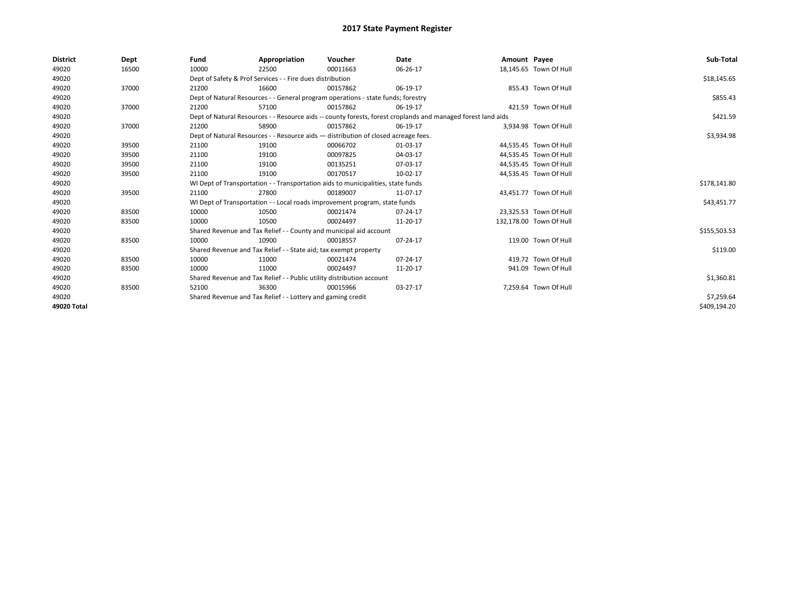| <b>District</b> | Dept  | Fund  | Appropriation                                                                      | Voucher  | Date                                                                                                         | Amount Payee |                         | Sub-Total    |  |  |
|-----------------|-------|-------|------------------------------------------------------------------------------------|----------|--------------------------------------------------------------------------------------------------------------|--------------|-------------------------|--------------|--|--|
| 49020           | 16500 | 10000 | 22500                                                                              | 00011663 | 06-26-17                                                                                                     |              | 18,145.65 Town Of Hull  |              |  |  |
| 49020           |       |       | Dept of Safety & Prof Services - - Fire dues distribution                          |          |                                                                                                              |              |                         | \$18,145.65  |  |  |
| 49020           | 37000 | 21200 | 16600                                                                              | 00157862 | 06-19-17                                                                                                     |              | 855.43 Town Of Hull     |              |  |  |
| 49020           |       |       | Dept of Natural Resources - - General program operations - state funds; forestry   |          |                                                                                                              |              |                         | \$855.43     |  |  |
| 49020           | 37000 | 21200 | 57100                                                                              | 00157862 | 06-19-17                                                                                                     |              | 421.59 Town Of Hull     |              |  |  |
| 49020           |       |       |                                                                                    |          | Dept of Natural Resources - - Resource aids -- county forests, forest croplands and managed forest land aids |              |                         | \$421.59     |  |  |
| 49020           | 37000 | 21200 | 58900                                                                              | 00157862 | 06-19-17                                                                                                     |              | 3,934.98 Town Of Hull   |              |  |  |
| 49020           |       |       | Dept of Natural Resources - - Resource aids - distribution of closed acreage fees. |          |                                                                                                              |              |                         | \$3,934.98   |  |  |
| 49020           | 39500 | 21100 | 19100                                                                              | 00066702 | 01-03-17                                                                                                     |              | 44,535.45 Town Of Hull  |              |  |  |
| 49020           | 39500 | 21100 | 19100                                                                              | 00097825 | 04-03-17                                                                                                     |              | 44,535.45 Town Of Hull  |              |  |  |
| 49020           | 39500 | 21100 | 19100                                                                              | 00135251 | 07-03-17                                                                                                     |              | 44,535.45 Town Of Hull  |              |  |  |
| 49020           | 39500 | 21100 | 19100                                                                              | 00170517 | 10-02-17                                                                                                     |              | 44,535.45 Town Of Hull  |              |  |  |
| 49020           |       |       | WI Dept of Transportation - - Transportation aids to municipalities, state funds   |          |                                                                                                              |              |                         |              |  |  |
| 49020           | 39500 | 21100 | 27800                                                                              | 00189007 | 11-07-17                                                                                                     |              | 43,451.77 Town Of Hull  |              |  |  |
| 49020           |       |       | WI Dept of Transportation - - Local roads improvement program, state funds         |          |                                                                                                              |              |                         | \$43,451.77  |  |  |
| 49020           | 83500 | 10000 | 10500                                                                              | 00021474 | 07-24-17                                                                                                     |              | 23,325.53 Town Of Hull  |              |  |  |
| 49020           | 83500 | 10000 | 10500                                                                              | 00024497 | 11-20-17                                                                                                     |              | 132,178.00 Town Of Hull |              |  |  |
| 49020           |       |       | Shared Revenue and Tax Relief - - County and municipal aid account                 |          |                                                                                                              |              |                         | \$155,503.53 |  |  |
| 49020           | 83500 | 10000 | 10900                                                                              | 00018557 | 07-24-17                                                                                                     |              | 119.00 Town Of Hull     |              |  |  |
| 49020           |       |       | Shared Revenue and Tax Relief - - State aid; tax exempt property                   |          |                                                                                                              |              |                         | \$119.00     |  |  |
| 49020           | 83500 | 10000 | 11000                                                                              | 00021474 | 07-24-17                                                                                                     |              | 419.72 Town Of Hull     |              |  |  |
| 49020           | 83500 | 10000 | 11000                                                                              | 00024497 | 11-20-17                                                                                                     |              | 941.09 Town Of Hull     |              |  |  |
| 49020           |       |       | Shared Revenue and Tax Relief - - Public utility distribution account              |          |                                                                                                              |              |                         |              |  |  |
| 49020           | 83500 | 52100 | 36300                                                                              | 00015966 | 03-27-17                                                                                                     |              | 7,259.64 Town Of Hull   |              |  |  |
| 49020           |       |       | Shared Revenue and Tax Relief - - Lottery and gaming credit                        |          | \$7,259.64                                                                                                   |              |                         |              |  |  |
| 49020 Total     |       |       |                                                                                    |          |                                                                                                              |              |                         | \$409,194.20 |  |  |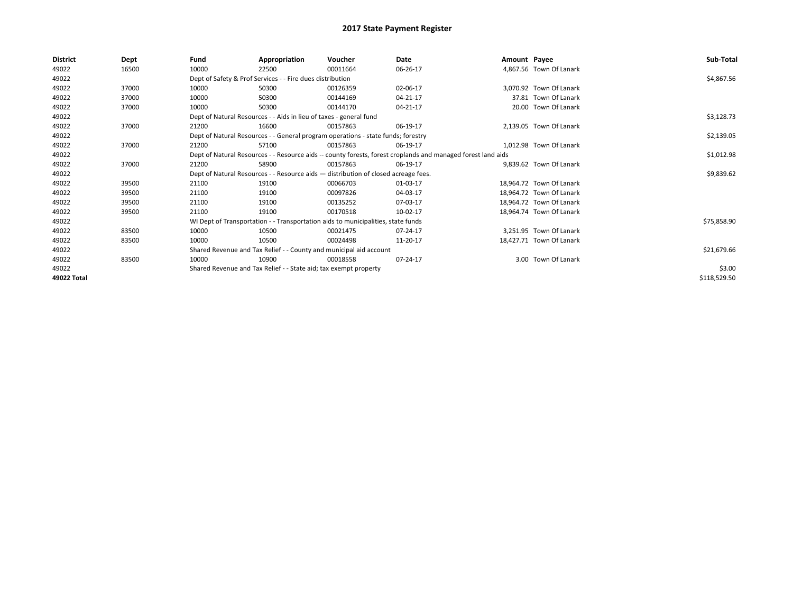| <b>District</b> | Dept  | Fund  | Appropriation                                                                      | Voucher  | Date                                                                                                         | Amount Payee |                          | Sub-Total    |
|-----------------|-------|-------|------------------------------------------------------------------------------------|----------|--------------------------------------------------------------------------------------------------------------|--------------|--------------------------|--------------|
| 49022           | 16500 | 10000 | 22500                                                                              | 00011664 | 06-26-17                                                                                                     |              | 4,867.56 Town Of Lanark  |              |
| 49022           |       |       | Dept of Safety & Prof Services - - Fire dues distribution                          |          |                                                                                                              |              |                          | \$4,867.56   |
| 49022           | 37000 | 10000 | 50300                                                                              | 00126359 | 02-06-17                                                                                                     |              | 3,070.92 Town Of Lanark  |              |
| 49022           | 37000 | 10000 | 50300                                                                              | 00144169 | 04-21-17                                                                                                     |              | 37.81 Town Of Lanark     |              |
| 49022           | 37000 | 10000 | 50300                                                                              | 00144170 | 04-21-17                                                                                                     |              | 20.00 Town Of Lanark     |              |
| 49022           |       |       | Dept of Natural Resources - - Aids in lieu of taxes - general fund                 |          |                                                                                                              |              |                          | \$3,128.73   |
| 49022           | 37000 | 21200 | 16600                                                                              | 00157863 | 06-19-17                                                                                                     |              | 2.139.05 Town Of Lanark  |              |
| 49022           |       |       | Dept of Natural Resources - - General program operations - state funds; forestry   |          |                                                                                                              |              |                          | \$2,139.05   |
| 49022           | 37000 | 21200 | 57100                                                                              | 00157863 | 06-19-17                                                                                                     |              | 1.012.98 Town Of Lanark  |              |
| 49022           |       |       |                                                                                    |          | Dept of Natural Resources - - Resource aids -- county forests, forest croplands and managed forest land aids |              |                          | \$1,012.98   |
| 49022           | 37000 | 21200 | 58900                                                                              | 00157863 | 06-19-17                                                                                                     |              | 9.839.62 Town Of Lanark  |              |
| 49022           |       |       | Dept of Natural Resources - - Resource aids - distribution of closed acreage fees. |          |                                                                                                              |              |                          | \$9,839.62   |
| 49022           | 39500 | 21100 | 19100                                                                              | 00066703 | 01-03-17                                                                                                     |              | 18.964.72 Town Of Lanark |              |
| 49022           | 39500 | 21100 | 19100                                                                              | 00097826 | 04-03-17                                                                                                     |              | 18.964.72 Town Of Lanark |              |
| 49022           | 39500 | 21100 | 19100                                                                              | 00135252 | 07-03-17                                                                                                     |              | 18.964.72 Town Of Lanark |              |
| 49022           | 39500 | 21100 | 19100                                                                              | 00170518 | 10-02-17                                                                                                     |              | 18.964.74 Town Of Lanark |              |
| 49022           |       |       | WI Dept of Transportation - - Transportation aids to municipalities, state funds   |          |                                                                                                              |              |                          | \$75,858.90  |
| 49022           | 83500 | 10000 | 10500                                                                              | 00021475 | 07-24-17                                                                                                     |              | 3.251.95 Town Of Lanark  |              |
| 49022           | 83500 | 10000 | 10500                                                                              | 00024498 | 11-20-17                                                                                                     |              | 18.427.71 Town Of Lanark |              |
| 49022           |       |       | Shared Revenue and Tax Relief - - County and municipal aid account                 |          |                                                                                                              |              |                          | \$21,679.66  |
| 49022           | 83500 | 10000 | 10900                                                                              | 00018558 | 07-24-17                                                                                                     |              | 3.00 Town Of Lanark      |              |
| 49022           |       |       | Shared Revenue and Tax Relief - - State aid; tax exempt property                   |          | \$3.00                                                                                                       |              |                          |              |
| 49022 Total     |       |       |                                                                                    |          |                                                                                                              |              |                          | \$118,529.50 |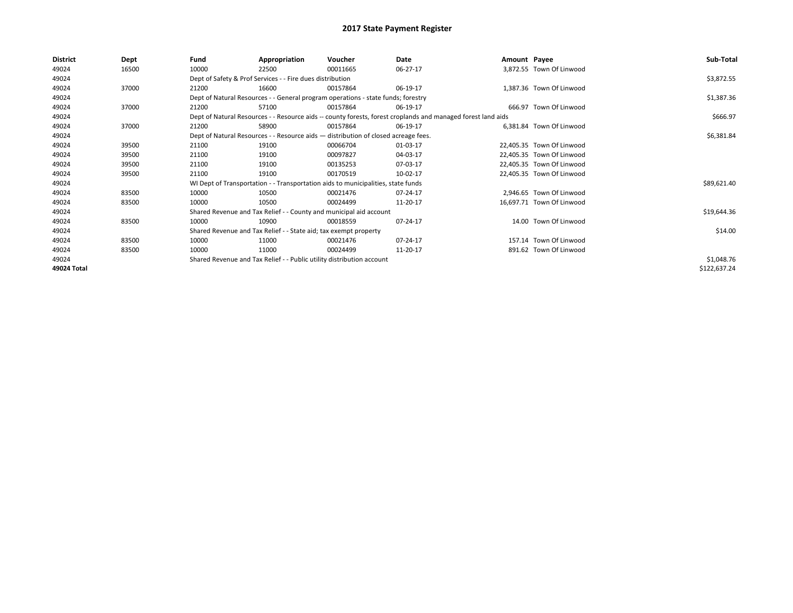| <b>District</b> | Dept  | Fund  | Appropriation                                                                      | Voucher  | Date                                                                                                         | Amount Payee |                           | Sub-Total    |
|-----------------|-------|-------|------------------------------------------------------------------------------------|----------|--------------------------------------------------------------------------------------------------------------|--------------|---------------------------|--------------|
| 49024           | 16500 | 10000 | 22500                                                                              | 00011665 | 06-27-17                                                                                                     |              | 3,872.55 Town Of Linwood  |              |
| 49024           |       |       | Dept of Safety & Prof Services - - Fire dues distribution                          |          |                                                                                                              |              |                           | \$3,872.55   |
| 49024           | 37000 | 21200 | 16600                                                                              | 00157864 | 06-19-17                                                                                                     |              | 1,387.36 Town Of Linwood  |              |
| 49024           |       |       | Dept of Natural Resources - - General program operations - state funds; forestry   |          |                                                                                                              |              |                           | \$1,387.36   |
| 49024           | 37000 | 21200 | 57100                                                                              | 00157864 | 06-19-17                                                                                                     |              | 666.97 Town Of Linwood    |              |
| 49024           |       |       |                                                                                    |          | Dept of Natural Resources - - Resource aids -- county forests, forest croplands and managed forest land aids |              |                           | \$666.97     |
| 49024           | 37000 | 21200 | 58900                                                                              | 00157864 | 06-19-17                                                                                                     |              | 6.381.84 Town Of Linwood  |              |
| 49024           |       |       | Dept of Natural Resources - - Resource aids - distribution of closed acreage fees. |          |                                                                                                              |              |                           | \$6,381.84   |
| 49024           | 39500 | 21100 | 19100                                                                              | 00066704 | 01-03-17                                                                                                     |              | 22,405.35 Town Of Linwood |              |
| 49024           | 39500 | 21100 | 19100                                                                              | 00097827 | 04-03-17                                                                                                     |              | 22.405.35 Town Of Linwood |              |
| 49024           | 39500 | 21100 | 19100                                                                              | 00135253 | 07-03-17                                                                                                     |              | 22,405.35 Town Of Linwood |              |
| 49024           | 39500 | 21100 | 19100                                                                              | 00170519 | 10-02-17                                                                                                     |              | 22,405.35 Town Of Linwood |              |
| 49024           |       |       | WI Dept of Transportation - - Transportation aids to municipalities, state funds   |          |                                                                                                              |              |                           | \$89,621.40  |
| 49024           | 83500 | 10000 | 10500                                                                              | 00021476 | 07-24-17                                                                                                     |              | 2,946.65 Town Of Linwood  |              |
| 49024           | 83500 | 10000 | 10500                                                                              | 00024499 | 11-20-17                                                                                                     |              | 16,697.71 Town Of Linwood |              |
| 49024           |       |       | Shared Revenue and Tax Relief - - County and municipal aid account                 |          |                                                                                                              |              |                           | \$19,644.36  |
| 49024           | 83500 | 10000 | 10900                                                                              | 00018559 | 07-24-17                                                                                                     |              | 14.00 Town Of Linwood     |              |
| 49024           |       |       | Shared Revenue and Tax Relief - - State aid; tax exempt property                   |          |                                                                                                              |              |                           | \$14.00      |
| 49024           | 83500 | 10000 | 11000                                                                              | 00021476 | 07-24-17                                                                                                     |              | 157.14 Town Of Linwood    |              |
| 49024           | 83500 | 10000 | 11000                                                                              | 00024499 | 11-20-17                                                                                                     |              | 891.62 Town Of Linwood    |              |
| 49024           |       |       | Shared Revenue and Tax Relief - - Public utility distribution account              |          |                                                                                                              |              |                           | \$1,048.76   |
| 49024 Total     |       |       |                                                                                    |          |                                                                                                              |              |                           | \$122,637.24 |
|                 |       |       |                                                                                    |          |                                                                                                              |              |                           |              |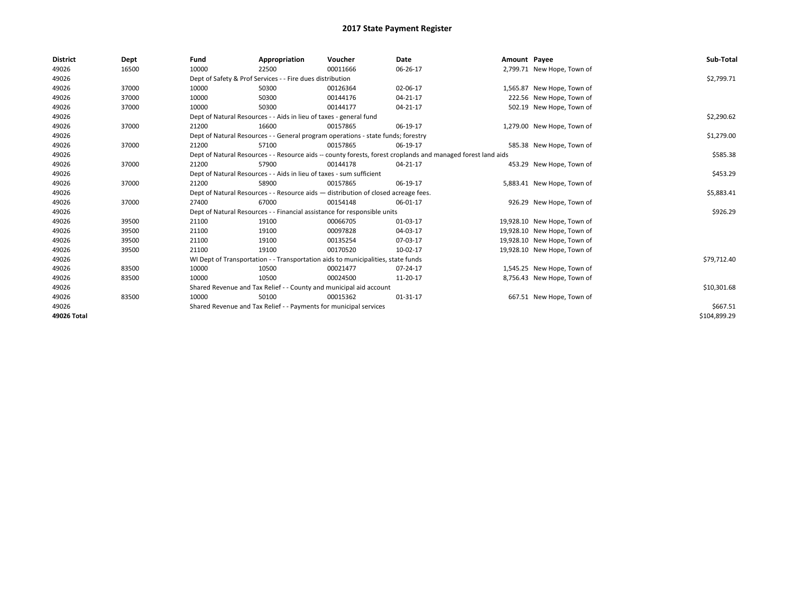| <b>District</b> | Dept  | Fund                                                              | Appropriation                                                                      | Voucher  | Date                                                                                                         | Amount Payee |                             | Sub-Total    |
|-----------------|-------|-------------------------------------------------------------------|------------------------------------------------------------------------------------|----------|--------------------------------------------------------------------------------------------------------------|--------------|-----------------------------|--------------|
| 49026           | 16500 | 10000                                                             | 22500                                                                              | 00011666 | 06-26-17                                                                                                     |              | 2,799.71 New Hope, Town of  |              |
| 49026           |       |                                                                   | Dept of Safety & Prof Services - - Fire dues distribution                          |          |                                                                                                              |              |                             | \$2,799.71   |
| 49026           | 37000 | 10000                                                             | 50300                                                                              | 00126364 | 02-06-17                                                                                                     |              | 1,565.87 New Hope, Town of  |              |
| 49026           | 37000 | 10000                                                             | 50300                                                                              | 00144176 | 04-21-17                                                                                                     |              | 222.56 New Hope, Town of    |              |
| 49026           | 37000 | 10000                                                             | 50300                                                                              | 00144177 | 04-21-17                                                                                                     |              | 502.19 New Hope, Town of    |              |
| 49026           |       |                                                                   | Dept of Natural Resources - - Aids in lieu of taxes - general fund                 |          |                                                                                                              |              |                             | \$2,290.62   |
| 49026           | 37000 | 21200                                                             | 16600                                                                              | 00157865 | 06-19-17                                                                                                     |              | 1,279.00 New Hope, Town of  |              |
| 49026           |       |                                                                   | Dept of Natural Resources - - General program operations - state funds; forestry   |          |                                                                                                              |              |                             | \$1,279.00   |
| 49026           | 37000 | 21200                                                             | 57100                                                                              | 00157865 | 06-19-17                                                                                                     |              | 585.38 New Hope, Town of    |              |
| 49026           |       |                                                                   |                                                                                    |          | Dept of Natural Resources - - Resource aids -- county forests, forest croplands and managed forest land aids |              |                             | \$585.38     |
| 49026           | 37000 | 21200                                                             | 57900                                                                              | 00144178 | 04-21-17                                                                                                     |              | 453.29 New Hope, Town of    |              |
| 49026           |       |                                                                   | Dept of Natural Resources - - Aids in lieu of taxes - sum sufficient               |          |                                                                                                              |              |                             | \$453.29     |
| 49026           | 37000 | 21200                                                             | 58900                                                                              | 00157865 | 06-19-17                                                                                                     |              | 5,883.41 New Hope, Town of  |              |
| 49026           |       |                                                                   | Dept of Natural Resources - - Resource aids - distribution of closed acreage fees. |          |                                                                                                              |              |                             | \$5,883.41   |
| 49026           | 37000 | 27400                                                             | 67000                                                                              | 00154148 | 06-01-17                                                                                                     |              | 926.29 New Hope, Town of    |              |
| 49026           |       |                                                                   | Dept of Natural Resources - - Financial assistance for responsible units           |          |                                                                                                              |              |                             | \$926.29     |
| 49026           | 39500 | 21100                                                             | 19100                                                                              | 00066705 | 01-03-17                                                                                                     |              | 19,928.10 New Hope, Town of |              |
| 49026           | 39500 | 21100                                                             | 19100                                                                              | 00097828 | 04-03-17                                                                                                     |              | 19,928.10 New Hope, Town of |              |
| 49026           | 39500 | 21100                                                             | 19100                                                                              | 00135254 | 07-03-17                                                                                                     |              | 19,928.10 New Hope, Town of |              |
| 49026           | 39500 | 21100                                                             | 19100                                                                              | 00170520 | 10-02-17                                                                                                     |              | 19,928.10 New Hope, Town of |              |
| 49026           |       |                                                                   | WI Dept of Transportation - - Transportation aids to municipalities, state funds   |          |                                                                                                              |              |                             | \$79,712.40  |
| 49026           | 83500 | 10000                                                             | 10500                                                                              | 00021477 | 07-24-17                                                                                                     |              | 1,545.25 New Hope, Town of  |              |
| 49026           | 83500 | 10000                                                             | 10500                                                                              | 00024500 | 11-20-17                                                                                                     |              | 8,756.43 New Hope, Town of  |              |
| 49026           |       |                                                                   | Shared Revenue and Tax Relief - - County and municipal aid account                 |          |                                                                                                              |              |                             | \$10,301.68  |
| 49026           | 83500 | 10000                                                             | 50100                                                                              | 00015362 | 01-31-17                                                                                                     |              | 667.51 New Hope, Town of    |              |
| 49026           |       | Shared Revenue and Tax Relief - - Payments for municipal services |                                                                                    | \$667.51 |                                                                                                              |              |                             |              |
| 49026 Total     |       |                                                                   |                                                                                    |          |                                                                                                              |              |                             | \$104,899.29 |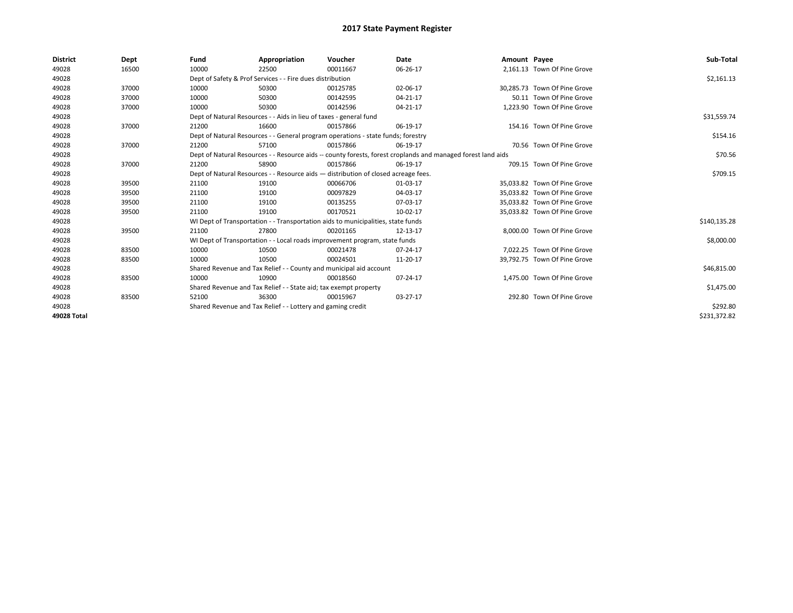| <b>District</b> | Dept  | Fund                                                        | Appropriation                                                                      | Voucher  | Date                                                                                                         | Amount Payee |                              | Sub-Total    |
|-----------------|-------|-------------------------------------------------------------|------------------------------------------------------------------------------------|----------|--------------------------------------------------------------------------------------------------------------|--------------|------------------------------|--------------|
| 49028           | 16500 | 10000                                                       | 22500                                                                              | 00011667 | 06-26-17                                                                                                     |              | 2,161.13 Town Of Pine Grove  |              |
| 49028           |       |                                                             | Dept of Safety & Prof Services - - Fire dues distribution                          |          |                                                                                                              |              |                              | \$2,161.13   |
| 49028           | 37000 | 10000                                                       | 50300                                                                              | 00125785 | 02-06-17                                                                                                     |              | 30.285.73 Town Of Pine Grove |              |
| 49028           | 37000 | 10000                                                       | 50300                                                                              | 00142595 | 04-21-17                                                                                                     |              | 50.11 Town Of Pine Grove     |              |
| 49028           | 37000 | 10000                                                       | 50300                                                                              | 00142596 | 04-21-17                                                                                                     |              | 1,223.90 Town Of Pine Grove  |              |
| 49028           |       |                                                             | Dept of Natural Resources - - Aids in lieu of taxes - general fund                 |          |                                                                                                              |              |                              | \$31,559.74  |
| 49028           | 37000 | 21200                                                       | 16600                                                                              | 00157866 | 06-19-17                                                                                                     |              | 154.16 Town Of Pine Grove    |              |
| 49028           |       |                                                             | Dept of Natural Resources - - General program operations - state funds; forestry   |          |                                                                                                              |              |                              | \$154.16     |
| 49028           | 37000 | 21200                                                       | 57100                                                                              | 00157866 | 06-19-17                                                                                                     |              | 70.56 Town Of Pine Grove     |              |
| 49028           |       |                                                             |                                                                                    |          | Dept of Natural Resources - - Resource aids -- county forests, forest croplands and managed forest land aids |              |                              | \$70.56      |
| 49028           | 37000 | 21200                                                       | 58900                                                                              | 00157866 | 06-19-17                                                                                                     |              | 709.15 Town Of Pine Grove    |              |
| 49028           |       |                                                             | Dept of Natural Resources - - Resource aids - distribution of closed acreage fees. |          |                                                                                                              |              |                              | \$709.15     |
| 49028           | 39500 | 21100                                                       | 19100                                                                              | 00066706 | 01-03-17                                                                                                     |              | 35,033.82 Town Of Pine Grove |              |
| 49028           | 39500 | 21100                                                       | 19100                                                                              | 00097829 | 04-03-17                                                                                                     |              | 35.033.82 Town Of Pine Grove |              |
| 49028           | 39500 | 21100                                                       | 19100                                                                              | 00135255 | 07-03-17                                                                                                     |              | 35.033.82 Town Of Pine Grove |              |
| 49028           | 39500 | 21100                                                       | 19100                                                                              | 00170521 | 10-02-17                                                                                                     |              | 35.033.82 Town Of Pine Grove |              |
| 49028           |       |                                                             | WI Dept of Transportation - - Transportation aids to municipalities, state funds   |          |                                                                                                              |              |                              | \$140,135.28 |
| 49028           | 39500 | 21100                                                       | 27800                                                                              | 00201165 | 12-13-17                                                                                                     |              | 8.000.00 Town Of Pine Grove  |              |
| 49028           |       |                                                             | WI Dept of Transportation - - Local roads improvement program, state funds         |          |                                                                                                              |              |                              | \$8,000.00   |
| 49028           | 83500 | 10000                                                       | 10500                                                                              | 00021478 | 07-24-17                                                                                                     |              | 7.022.25 Town Of Pine Grove  |              |
| 49028           | 83500 | 10000                                                       | 10500                                                                              | 00024501 | 11-20-17                                                                                                     |              | 39,792.75 Town Of Pine Grove |              |
| 49028           |       |                                                             | Shared Revenue and Tax Relief - - County and municipal aid account                 |          |                                                                                                              |              |                              | \$46,815.00  |
| 49028           | 83500 | 10000                                                       | 10900                                                                              | 00018560 | 07-24-17                                                                                                     |              | 1,475.00 Town Of Pine Grove  |              |
| 49028           |       |                                                             | Shared Revenue and Tax Relief - - State aid; tax exempt property                   |          |                                                                                                              |              |                              | \$1,475.00   |
| 49028           | 83500 | 52100                                                       | 36300                                                                              | 00015967 | 03-27-17                                                                                                     |              | 292.80 Town Of Pine Grove    |              |
| 49028           |       | Shared Revenue and Tax Relief - - Lottery and gaming credit |                                                                                    | \$292.80 |                                                                                                              |              |                              |              |
| 49028 Total     |       |                                                             |                                                                                    |          |                                                                                                              |              |                              | \$231,372.82 |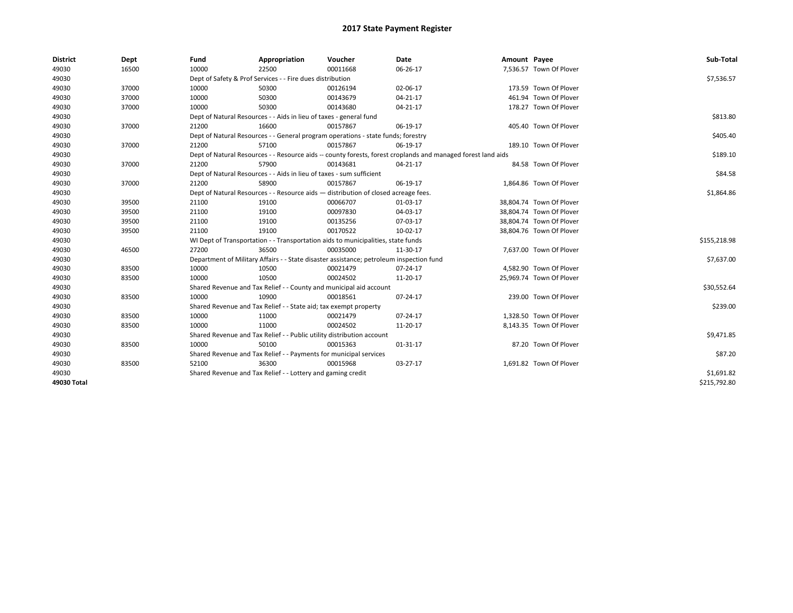| <b>District</b> | Dept  | Fund  | Appropriation                                                                           | Voucher  | Date                                                                                                         | Amount Payee |                          | Sub-Total    |
|-----------------|-------|-------|-----------------------------------------------------------------------------------------|----------|--------------------------------------------------------------------------------------------------------------|--------------|--------------------------|--------------|
| 49030           | 16500 | 10000 | 22500                                                                                   | 00011668 | 06-26-17                                                                                                     |              | 7,536.57 Town Of Plover  |              |
| 49030           |       |       | Dept of Safety & Prof Services - - Fire dues distribution                               |          |                                                                                                              |              |                          | \$7,536.57   |
| 49030           | 37000 | 10000 | 50300                                                                                   | 00126194 | 02-06-17                                                                                                     |              | 173.59 Town Of Plover    |              |
| 49030           | 37000 | 10000 | 50300                                                                                   | 00143679 | $04 - 21 - 17$                                                                                               |              | 461.94 Town Of Plover    |              |
| 49030           | 37000 | 10000 | 50300                                                                                   | 00143680 | 04-21-17                                                                                                     |              | 178.27 Town Of Plover    |              |
| 49030           |       |       | Dept of Natural Resources - - Aids in lieu of taxes - general fund                      |          |                                                                                                              |              |                          | \$813.80     |
| 49030           | 37000 | 21200 | 16600                                                                                   | 00157867 | 06-19-17                                                                                                     |              | 405.40 Town Of Plover    |              |
| 49030           |       |       | Dept of Natural Resources - - General program operations - state funds; forestry        |          |                                                                                                              |              |                          | \$405.40     |
| 49030           | 37000 | 21200 | 57100                                                                                   | 00157867 | 06-19-17                                                                                                     |              | 189.10 Town Of Plover    |              |
| 49030           |       |       |                                                                                         |          | Dept of Natural Resources - - Resource aids -- county forests, forest croplands and managed forest land aids |              |                          | \$189.10     |
| 49030           | 37000 | 21200 | 57900                                                                                   | 00143681 | 04-21-17                                                                                                     |              | 84.58 Town Of Plover     |              |
| 49030           |       |       | Dept of Natural Resources - - Aids in lieu of taxes - sum sufficient                    |          |                                                                                                              |              |                          | \$84.58      |
| 49030           | 37000 | 21200 | 58900                                                                                   | 00157867 | 06-19-17                                                                                                     |              | 1,864.86 Town Of Plover  |              |
| 49030           |       |       | Dept of Natural Resources - - Resource aids - distribution of closed acreage fees.      |          |                                                                                                              |              |                          | \$1,864.86   |
| 49030           | 39500 | 21100 | 19100                                                                                   | 00066707 | 01-03-17                                                                                                     |              | 38,804.74 Town Of Plover |              |
| 49030           | 39500 | 21100 | 19100                                                                                   | 00097830 | 04-03-17                                                                                                     |              | 38.804.74 Town Of Plover |              |
| 49030           | 39500 | 21100 | 19100                                                                                   | 00135256 | 07-03-17                                                                                                     |              | 38,804.74 Town Of Plover |              |
| 49030           | 39500 | 21100 | 19100                                                                                   | 00170522 | 10-02-17                                                                                                     |              | 38,804.76 Town Of Plover |              |
| 49030           |       |       | WI Dept of Transportation - - Transportation aids to municipalities, state funds        |          |                                                                                                              |              |                          | \$155,218.98 |
| 49030           | 46500 | 27200 | 36500                                                                                   | 00035000 | 11-30-17                                                                                                     |              | 7,637.00 Town Of Plover  |              |
| 49030           |       |       | Department of Military Affairs - - State disaster assistance; petroleum inspection fund |          |                                                                                                              |              |                          | \$7,637.00   |
| 49030           | 83500 | 10000 | 10500                                                                                   | 00021479 | 07-24-17                                                                                                     |              | 4,582.90 Town Of Plover  |              |
| 49030           | 83500 | 10000 | 10500                                                                                   | 00024502 | 11-20-17                                                                                                     |              | 25,969.74 Town Of Plover |              |
| 49030           |       |       | Shared Revenue and Tax Relief - - County and municipal aid account                      |          |                                                                                                              |              |                          | \$30,552.64  |
| 49030           | 83500 | 10000 | 10900                                                                                   | 00018561 | 07-24-17                                                                                                     |              | 239.00 Town Of Plover    |              |
| 49030           |       |       | Shared Revenue and Tax Relief - - State aid; tax exempt property                        |          |                                                                                                              |              |                          | \$239.00     |
| 49030           | 83500 | 10000 | 11000                                                                                   | 00021479 | 07-24-17                                                                                                     |              | 1,328.50 Town Of Plover  |              |
| 49030           | 83500 | 10000 | 11000                                                                                   | 00024502 | 11-20-17                                                                                                     |              | 8,143.35 Town Of Plover  |              |
| 49030           |       |       | Shared Revenue and Tax Relief - - Public utility distribution account                   |          |                                                                                                              |              |                          | \$9,471.85   |
| 49030           | 83500 | 10000 | 50100                                                                                   | 00015363 | 01-31-17                                                                                                     |              | 87.20 Town Of Plover     |              |
| 49030           |       |       | Shared Revenue and Tax Relief - - Payments for municipal services                       |          |                                                                                                              |              |                          | \$87.20      |
| 49030           | 83500 | 52100 | 36300                                                                                   | 00015968 | 03-27-17                                                                                                     |              | 1,691.82 Town Of Plover  |              |
| 49030           |       |       | Shared Revenue and Tax Relief - - Lottery and gaming credit                             |          |                                                                                                              |              |                          | \$1,691.82   |
| 49030 Total     |       |       |                                                                                         |          |                                                                                                              |              |                          | \$215,792.80 |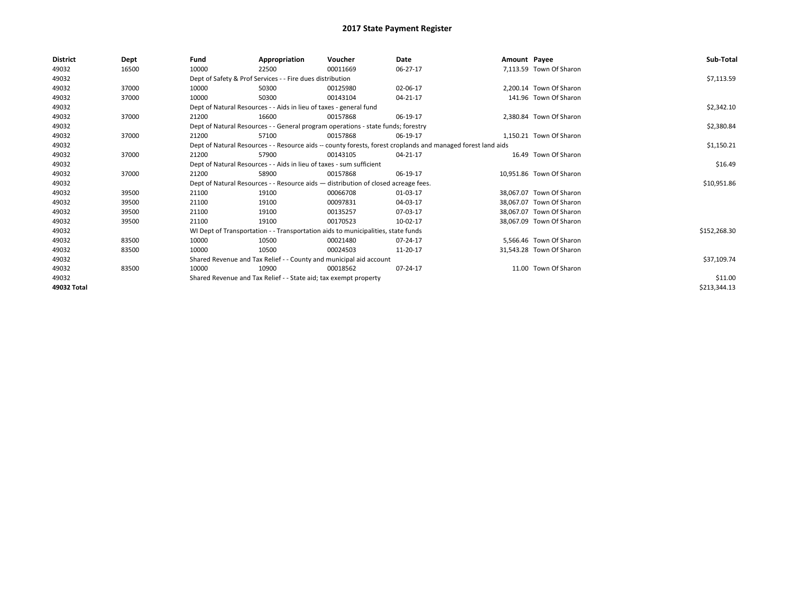| <b>District</b> | Dept  | Fund                                                             | Appropriation                                                        | Voucher                                                                            | Date                                                                                                         | Amount Payee |                          | Sub-Total    |
|-----------------|-------|------------------------------------------------------------------|----------------------------------------------------------------------|------------------------------------------------------------------------------------|--------------------------------------------------------------------------------------------------------------|--------------|--------------------------|--------------|
| 49032           | 16500 | 10000                                                            | 22500                                                                | 00011669                                                                           | 06-27-17                                                                                                     |              | 7,113.59 Town Of Sharon  |              |
| 49032           |       |                                                                  | Dept of Safety & Prof Services - - Fire dues distribution            |                                                                                    |                                                                                                              |              |                          | \$7,113.59   |
| 49032           | 37000 | 10000                                                            | 50300                                                                | 00125980                                                                           | 02-06-17                                                                                                     |              | 2,200.14 Town Of Sharon  |              |
| 49032           | 37000 | 10000                                                            | 50300                                                                | 00143104                                                                           | 04-21-17                                                                                                     |              | 141.96 Town Of Sharon    |              |
| 49032           |       |                                                                  | Dept of Natural Resources - - Aids in lieu of taxes - general fund   |                                                                                    |                                                                                                              |              |                          | \$2,342.10   |
| 49032           | 37000 | 21200                                                            | 16600                                                                | 00157868                                                                           | 06-19-17                                                                                                     |              | 2.380.84 Town Of Sharon  |              |
| 49032           |       |                                                                  |                                                                      | Dept of Natural Resources - - General program operations - state funds; forestry   |                                                                                                              |              |                          | \$2,380.84   |
| 49032           | 37000 | 21200                                                            | 57100                                                                | 00157868                                                                           | 06-19-17                                                                                                     |              | 1,150.21 Town Of Sharon  |              |
| 49032           |       |                                                                  |                                                                      |                                                                                    | Dept of Natural Resources - - Resource aids -- county forests, forest croplands and managed forest land aids |              |                          | \$1,150.21   |
| 49032           | 37000 | 21200                                                            | 57900                                                                | 00143105                                                                           | 04-21-17                                                                                                     |              | 16.49 Town Of Sharon     |              |
| 49032           |       |                                                                  | Dept of Natural Resources - - Aids in lieu of taxes - sum sufficient |                                                                                    |                                                                                                              |              |                          | \$16.49      |
| 49032           | 37000 | 21200                                                            | 58900                                                                | 00157868                                                                           | 06-19-17                                                                                                     |              | 10.951.86 Town Of Sharon |              |
| 49032           |       |                                                                  |                                                                      | Dept of Natural Resources - - Resource aids - distribution of closed acreage fees. |                                                                                                              |              |                          | \$10,951.86  |
| 49032           | 39500 | 21100                                                            | 19100                                                                | 00066708                                                                           | 01-03-17                                                                                                     |              | 38.067.07 Town Of Sharon |              |
| 49032           | 39500 | 21100                                                            | 19100                                                                | 00097831                                                                           | 04-03-17                                                                                                     |              | 38.067.07 Town Of Sharon |              |
| 49032           | 39500 | 21100                                                            | 19100                                                                | 00135257                                                                           | 07-03-17                                                                                                     |              | 38.067.07 Town Of Sharon |              |
| 49032           | 39500 | 21100                                                            | 19100                                                                | 00170523                                                                           | 10-02-17                                                                                                     |              | 38,067.09 Town Of Sharon |              |
| 49032           |       |                                                                  |                                                                      | WI Dept of Transportation - - Transportation aids to municipalities, state funds   |                                                                                                              |              |                          | \$152,268.30 |
| 49032           | 83500 | 10000                                                            | 10500                                                                | 00021480                                                                           | 07-24-17                                                                                                     |              | 5.566.46 Town Of Sharon  |              |
| 49032           | 83500 | 10000                                                            | 10500                                                                | 00024503                                                                           | 11-20-17                                                                                                     |              | 31,543.28 Town Of Sharon |              |
| 49032           |       |                                                                  |                                                                      | Shared Revenue and Tax Relief - - County and municipal aid account                 |                                                                                                              |              |                          | \$37,109.74  |
| 49032           | 83500 | 10000                                                            | 10900                                                                | 00018562                                                                           | 07-24-17                                                                                                     |              | 11.00 Town Of Sharon     |              |
| 49032           |       | Shared Revenue and Tax Relief - - State aid; tax exempt property |                                                                      | \$11.00                                                                            |                                                                                                              |              |                          |              |
| 49032 Total     |       |                                                                  |                                                                      |                                                                                    |                                                                                                              |              |                          | \$213,344.13 |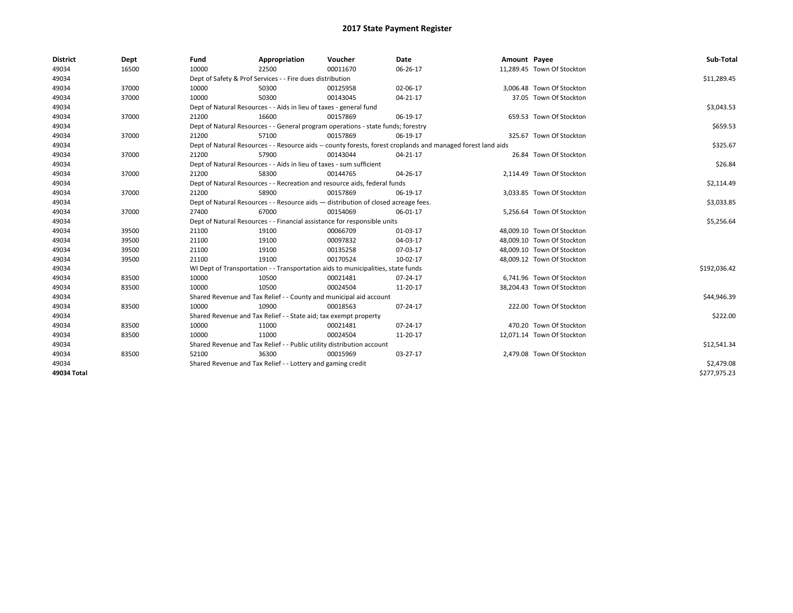| <b>District</b> | Dept  | Fund  | Appropriation                                                                      | Voucher  | Date                                                                                                         | Amount Payee |                            | Sub-Total    |
|-----------------|-------|-------|------------------------------------------------------------------------------------|----------|--------------------------------------------------------------------------------------------------------------|--------------|----------------------------|--------------|
| 49034           | 16500 | 10000 | 22500                                                                              | 00011670 | 06-26-17                                                                                                     |              | 11,289.45 Town Of Stockton |              |
| 49034           |       |       | Dept of Safety & Prof Services - - Fire dues distribution                          |          |                                                                                                              |              |                            | \$11,289.45  |
| 49034           | 37000 | 10000 | 50300                                                                              | 00125958 | 02-06-17                                                                                                     |              | 3,006.48 Town Of Stockton  |              |
| 49034           | 37000 | 10000 | 50300                                                                              | 00143045 | 04-21-17                                                                                                     |              | 37.05 Town Of Stockton     |              |
| 49034           |       |       | Dept of Natural Resources - - Aids in lieu of taxes - general fund                 |          |                                                                                                              |              |                            | \$3,043.53   |
| 49034           | 37000 | 21200 | 16600                                                                              | 00157869 | 06-19-17                                                                                                     |              | 659.53 Town Of Stockton    |              |
| 49034           |       |       | Dept of Natural Resources - - General program operations - state funds; forestry   |          |                                                                                                              |              |                            | \$659.53     |
| 49034           | 37000 | 21200 | 57100                                                                              | 00157869 | 06-19-17                                                                                                     |              | 325.67 Town Of Stockton    |              |
| 49034           |       |       |                                                                                    |          | Dept of Natural Resources - - Resource aids -- county forests, forest croplands and managed forest land aids |              |                            | \$325.67     |
| 49034           | 37000 | 21200 | 57900                                                                              | 00143044 | 04-21-17                                                                                                     |              | 26.84 Town Of Stockton     |              |
| 49034           |       |       | Dept of Natural Resources - - Aids in lieu of taxes - sum sufficient               |          |                                                                                                              |              |                            | \$26.84      |
| 49034           | 37000 | 21200 | 58300                                                                              | 00144765 | 04-26-17                                                                                                     |              | 2,114.49 Town Of Stockton  |              |
| 49034           |       |       | Dept of Natural Resources - - Recreation and resource aids, federal funds          |          |                                                                                                              |              |                            | \$2,114.49   |
| 49034           | 37000 | 21200 | 58900                                                                              | 00157869 | 06-19-17                                                                                                     |              | 3.033.85 Town Of Stockton  |              |
| 49034           |       |       | Dept of Natural Resources - - Resource aids - distribution of closed acreage fees. |          |                                                                                                              |              |                            | \$3,033.85   |
| 49034           | 37000 | 27400 | 67000                                                                              | 00154069 | 06-01-17                                                                                                     |              | 5,256.64 Town Of Stockton  |              |
| 49034           |       |       | Dept of Natural Resources - - Financial assistance for responsible units           |          |                                                                                                              |              |                            | \$5,256.64   |
| 49034           | 39500 | 21100 | 19100                                                                              | 00066709 | 01-03-17                                                                                                     |              | 48,009.10 Town Of Stockton |              |
| 49034           | 39500 | 21100 | 19100                                                                              | 00097832 | 04-03-17                                                                                                     |              | 48,009.10 Town Of Stockton |              |
| 49034           | 39500 | 21100 | 19100                                                                              | 00135258 | 07-03-17                                                                                                     |              | 48,009.10 Town Of Stockton |              |
| 49034           | 39500 | 21100 | 19100                                                                              | 00170524 | 10-02-17                                                                                                     |              | 48,009.12 Town Of Stockton |              |
| 49034           |       |       | WI Dept of Transportation - - Transportation aids to municipalities, state funds   |          |                                                                                                              |              |                            | \$192,036.42 |
| 49034           | 83500 | 10000 | 10500                                                                              | 00021481 | 07-24-17                                                                                                     |              | 6,741.96 Town Of Stockton  |              |
| 49034           | 83500 | 10000 | 10500                                                                              | 00024504 | 11-20-17                                                                                                     |              | 38,204.43 Town Of Stockton |              |
| 49034           |       |       | Shared Revenue and Tax Relief - - County and municipal aid account                 |          |                                                                                                              |              |                            | \$44,946.39  |
| 49034           | 83500 | 10000 | 10900                                                                              | 00018563 | 07-24-17                                                                                                     |              | 222.00 Town Of Stockton    |              |
| 49034           |       |       | Shared Revenue and Tax Relief - - State aid; tax exempt property                   |          |                                                                                                              |              |                            | \$222.00     |
| 49034           | 83500 | 10000 | 11000                                                                              | 00021481 | 07-24-17                                                                                                     |              | 470.20 Town Of Stockton    |              |
| 49034           | 83500 | 10000 | 11000                                                                              | 00024504 | 11-20-17                                                                                                     |              | 12,071.14 Town Of Stockton |              |
| 49034           |       |       | Shared Revenue and Tax Relief - - Public utility distribution account              |          |                                                                                                              |              |                            | \$12,541.34  |
| 49034           | 83500 | 52100 | 36300                                                                              | 00015969 | 03-27-17                                                                                                     |              | 2,479.08 Town Of Stockton  |              |
| 49034           |       |       | Shared Revenue and Tax Relief - - Lottery and gaming credit                        |          |                                                                                                              |              |                            | \$2,479.08   |
| 49034 Total     |       |       |                                                                                    |          |                                                                                                              |              |                            | \$277,975.23 |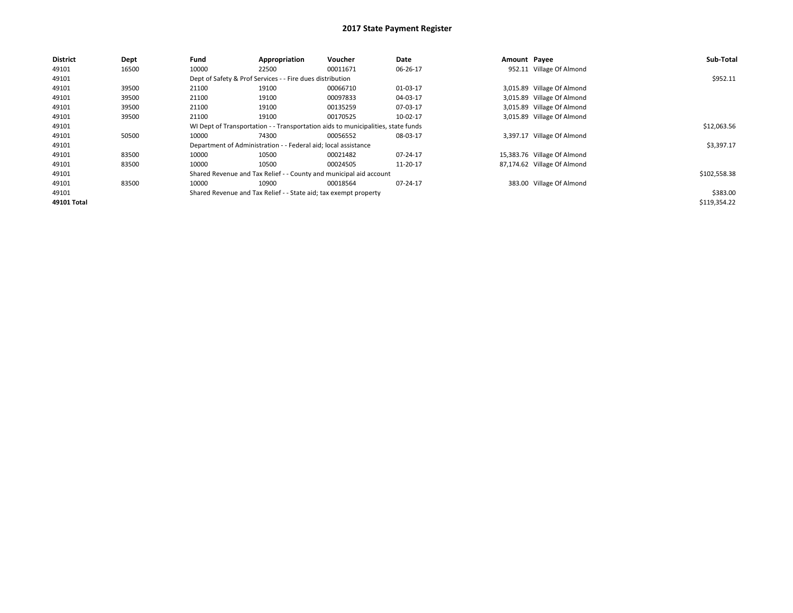| <b>District</b> | Dept  | Fund  | Appropriation                                                                    | Voucher  | Date     | Amount Payee |                             | Sub-Total    |
|-----------------|-------|-------|----------------------------------------------------------------------------------|----------|----------|--------------|-----------------------------|--------------|
| 49101           | 16500 | 10000 | 22500                                                                            | 00011671 | 06-26-17 |              | 952.11 Village Of Almond    |              |
| 49101           |       |       | Dept of Safety & Prof Services - - Fire dues distribution                        |          |          |              |                             | \$952.11     |
| 49101           | 39500 | 21100 | 19100                                                                            | 00066710 | 01-03-17 |              | 3,015.89 Village Of Almond  |              |
| 49101           | 39500 | 21100 | 19100                                                                            | 00097833 | 04-03-17 |              | 3,015.89 Village Of Almond  |              |
| 49101           | 39500 | 21100 | 19100                                                                            | 00135259 | 07-03-17 |              | 3,015.89 Village Of Almond  |              |
| 49101           | 39500 | 21100 | 19100                                                                            | 00170525 | 10-02-17 |              | 3,015.89 Village Of Almond  |              |
| 49101           |       |       | WI Dept of Transportation - - Transportation aids to municipalities, state funds |          |          |              |                             | \$12,063.56  |
| 49101           | 50500 | 10000 | 74300                                                                            | 00056552 | 08-03-17 | 3.397.17     | Village Of Almond           |              |
| 49101           |       |       | Department of Administration - - Federal aid; local assistance                   |          |          |              |                             | \$3,397.17   |
| 49101           | 83500 | 10000 | 10500                                                                            | 00021482 | 07-24-17 |              | 15,383.76 Village Of Almond |              |
| 49101           | 83500 | 10000 | 10500                                                                            | 00024505 | 11-20-17 |              | 87,174.62 Village Of Almond |              |
| 49101           |       |       | Shared Revenue and Tax Relief - - County and municipal aid account               |          |          |              |                             | \$102,558.38 |
| 49101           | 83500 | 10000 | 10900                                                                            | 00018564 | 07-24-17 |              | 383.00 Village Of Almond    |              |
| 49101           |       |       | Shared Revenue and Tax Relief - - State aid; tax exempt property                 |          |          |              |                             | \$383.00     |
| 49101 Total     |       |       |                                                                                  |          |          |              |                             | \$119,354.22 |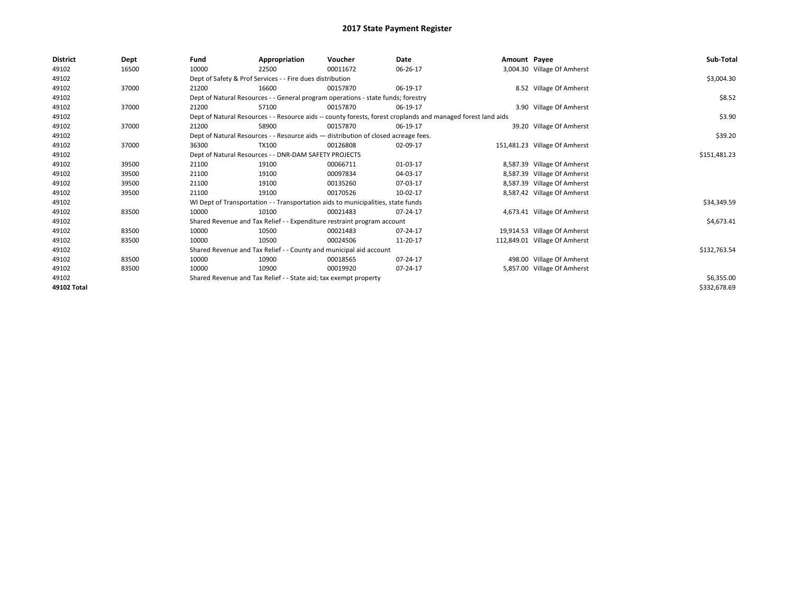| <b>District</b> | Dept  | Fund  | Appropriation                                                                      | Voucher  | Date                                                                                                         | Amount Payee |                               | Sub-Total    |
|-----------------|-------|-------|------------------------------------------------------------------------------------|----------|--------------------------------------------------------------------------------------------------------------|--------------|-------------------------------|--------------|
| 49102           | 16500 | 10000 | 22500                                                                              | 00011672 | 06-26-17                                                                                                     |              | 3,004.30 Village Of Amherst   |              |
| 49102           |       |       | Dept of Safety & Prof Services - - Fire dues distribution                          |          |                                                                                                              |              |                               | \$3,004.30   |
| 49102           | 37000 | 21200 | 16600                                                                              | 00157870 | 06-19-17                                                                                                     |              | 8.52 Village Of Amherst       |              |
| 49102           |       |       | Dept of Natural Resources - - General program operations - state funds; forestry   |          |                                                                                                              |              |                               | \$8.52       |
| 49102           | 37000 | 21200 | 57100                                                                              | 00157870 | 06-19-17                                                                                                     |              | 3.90 Village Of Amherst       |              |
| 49102           |       |       |                                                                                    |          | Dept of Natural Resources - - Resource aids -- county forests, forest croplands and managed forest land aids |              |                               | \$3.90       |
| 49102           | 37000 | 21200 | 58900                                                                              | 00157870 | 06-19-17                                                                                                     |              | 39.20 Village Of Amherst      |              |
| 49102           |       |       | Dept of Natural Resources - - Resource aids - distribution of closed acreage fees. |          |                                                                                                              |              |                               | \$39.20      |
| 49102           | 37000 | 36300 | TX100                                                                              | 00126808 | 02-09-17                                                                                                     |              | 151,481.23 Village Of Amherst |              |
| 49102           |       |       | Dept of Natural Resources - - DNR-DAM SAFETY PROJECTS                              |          |                                                                                                              |              |                               | \$151,481.23 |
| 49102           | 39500 | 21100 | 19100                                                                              | 00066711 | 01-03-17                                                                                                     |              | 8,587.39 Village Of Amherst   |              |
| 49102           | 39500 | 21100 | 19100                                                                              | 00097834 | 04-03-17                                                                                                     |              | 8,587.39 Village Of Amherst   |              |
| 49102           | 39500 | 21100 | 19100                                                                              | 00135260 | 07-03-17                                                                                                     |              | 8,587.39 Village Of Amherst   |              |
| 49102           | 39500 | 21100 | 19100                                                                              | 00170526 | 10-02-17                                                                                                     |              | 8,587.42 Village Of Amherst   |              |
| 49102           |       |       | WI Dept of Transportation - - Transportation aids to municipalities, state funds   |          |                                                                                                              |              |                               | \$34,349.59  |
| 49102           | 83500 | 10000 | 10100                                                                              | 00021483 | 07-24-17                                                                                                     |              | 4,673.41 Village Of Amherst   |              |
| 49102           |       |       | Shared Revenue and Tax Relief - - Expenditure restraint program account            |          |                                                                                                              |              |                               | \$4,673.41   |
| 49102           | 83500 | 10000 | 10500                                                                              | 00021483 | 07-24-17                                                                                                     |              | 19,914.53 Village Of Amherst  |              |
| 49102           | 83500 | 10000 | 10500                                                                              | 00024506 | 11-20-17                                                                                                     |              | 112,849.01 Village Of Amherst |              |
| 49102           |       |       | Shared Revenue and Tax Relief - - County and municipal aid account                 |          |                                                                                                              |              |                               | \$132,763.54 |
| 49102           | 83500 | 10000 | 10900                                                                              | 00018565 | 07-24-17                                                                                                     |              | 498.00 Village Of Amherst     |              |
| 49102           | 83500 | 10000 | 10900                                                                              | 00019920 | 07-24-17                                                                                                     |              | 5,857.00 Village Of Amherst   |              |
| 49102           |       |       | Shared Revenue and Tax Relief - - State aid; tax exempt property                   |          | \$6,355.00                                                                                                   |              |                               |              |
| 49102 Total     |       |       |                                                                                    |          |                                                                                                              |              |                               | \$332,678.69 |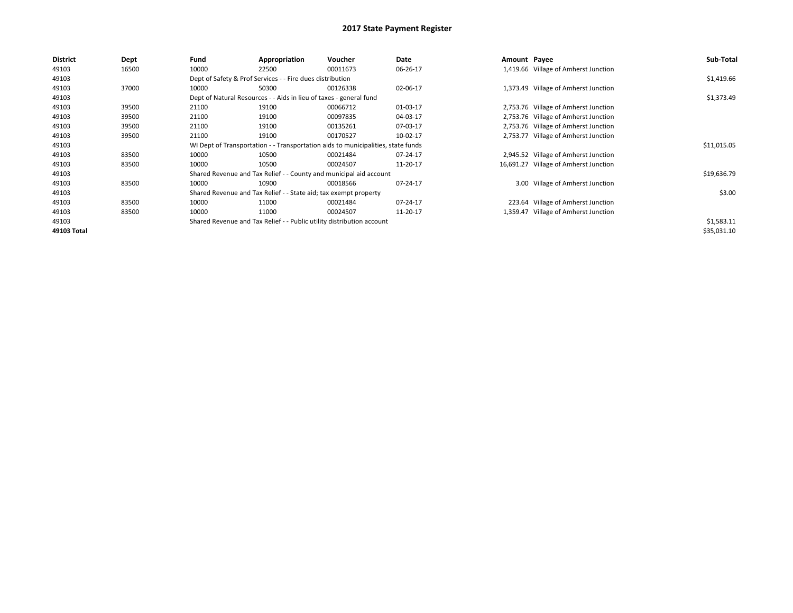| <b>District</b> | <b>Dept</b> | Fund  | Appropriation                                                         | Voucher                                                                          | Date     | Amount Payee |                                       | Sub-Total   |
|-----------------|-------------|-------|-----------------------------------------------------------------------|----------------------------------------------------------------------------------|----------|--------------|---------------------------------------|-------------|
| 49103           | 16500       | 10000 | 22500                                                                 | 00011673                                                                         | 06-26-17 |              | 1,419.66 Village of Amherst Junction  |             |
| 49103           |             |       | Dept of Safety & Prof Services - - Fire dues distribution             |                                                                                  |          |              |                                       | \$1,419.66  |
| 49103           | 37000       | 10000 | 50300                                                                 | 00126338                                                                         | 02-06-17 |              | 1,373.49 Village of Amherst Junction  |             |
| 49103           |             |       | Dept of Natural Resources - - Aids in lieu of taxes - general fund    |                                                                                  |          |              |                                       | \$1,373.49  |
| 49103           | 39500       | 21100 | 19100                                                                 | 00066712                                                                         | 01-03-17 |              | 2,753.76 Village of Amherst Junction  |             |
| 49103           | 39500       | 21100 | 19100                                                                 | 00097835                                                                         | 04-03-17 |              | 2,753.76 Village of Amherst Junction  |             |
| 49103           | 39500       | 21100 | 19100                                                                 | 00135261                                                                         | 07-03-17 |              | 2,753.76 Village of Amherst Junction  |             |
| 49103           | 39500       | 21100 | 19100                                                                 | 00170527                                                                         | 10-02-17 | 2,753.77     | Village of Amherst Junction           |             |
| 49103           |             |       |                                                                       | WI Dept of Transportation - - Transportation aids to municipalities, state funds |          |              |                                       | \$11,015.05 |
| 49103           | 83500       | 10000 | 10500                                                                 | 00021484                                                                         | 07-24-17 |              | 2,945.52 Village of Amherst Junction  |             |
| 49103           | 83500       | 10000 | 10500                                                                 | 00024507                                                                         | 11-20-17 |              | 16,691.27 Village of Amherst Junction |             |
| 49103           |             |       |                                                                       | Shared Revenue and Tax Relief - - County and municipal aid account               |          |              |                                       | \$19,636.79 |
| 49103           | 83500       | 10000 | 10900                                                                 | 00018566                                                                         | 07-24-17 |              | 3.00 Village of Amherst Junction      |             |
| 49103           |             |       | Shared Revenue and Tax Relief - - State aid; tax exempt property      |                                                                                  |          |              |                                       | \$3.00      |
| 49103           | 83500       | 10000 | 11000                                                                 | 00021484                                                                         | 07-24-17 |              | 223.64 Village of Amherst Junction    |             |
| 49103           | 83500       | 10000 | 11000                                                                 | 00024507                                                                         | 11-20-17 |              | 1,359.47 Village of Amherst Junction  |             |
| 49103           |             |       | Shared Revenue and Tax Relief - - Public utility distribution account |                                                                                  |          |              |                                       | \$1,583.11  |
| 49103 Total     |             |       |                                                                       |                                                                                  |          |              |                                       | \$35,031.10 |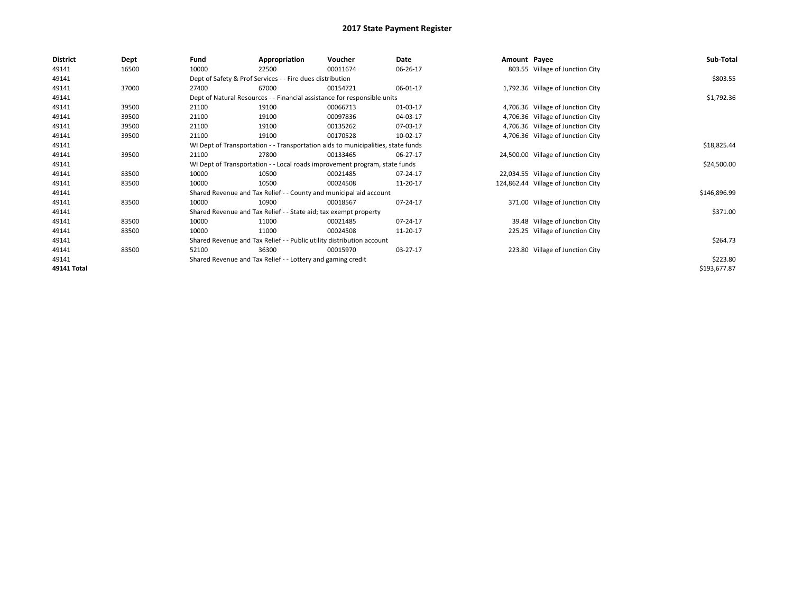| <b>District</b> | Dept  | Fund  | Appropriation                                                                    | Voucher  | Date        | Amount Payee |                                     | Sub-Total    |
|-----------------|-------|-------|----------------------------------------------------------------------------------|----------|-------------|--------------|-------------------------------------|--------------|
| 49141           | 16500 | 10000 | 22500                                                                            | 00011674 | 06-26-17    |              | 803.55 Village of Junction City     |              |
| 49141           |       |       | Dept of Safety & Prof Services - - Fire dues distribution                        |          |             |              |                                     | \$803.55     |
| 49141           | 37000 | 27400 | 67000                                                                            | 00154721 | 06-01-17    |              | 1,792.36 Village of Junction City   |              |
| 49141           |       |       | Dept of Natural Resources - - Financial assistance for responsible units         |          |             |              |                                     | \$1,792.36   |
| 49141           | 39500 | 21100 | 19100                                                                            | 00066713 | 01-03-17    |              | 4,706.36 Village of Junction City   |              |
| 49141           | 39500 | 21100 | 19100                                                                            | 00097836 | 04-03-17    |              | 4,706.36 Village of Junction City   |              |
| 49141           | 39500 | 21100 | 19100                                                                            | 00135262 | 07-03-17    |              | 4,706.36 Village of Junction City   |              |
| 49141           | 39500 | 21100 | 19100                                                                            | 00170528 | 10-02-17    |              | 4,706.36 Village of Junction City   |              |
| 49141           |       |       | WI Dept of Transportation - - Transportation aids to municipalities, state funds |          | \$18,825.44 |              |                                     |              |
| 49141           | 39500 | 21100 | 27800                                                                            | 00133465 | 06-27-17    |              | 24,500.00 Village of Junction City  |              |
| 49141           |       |       | WI Dept of Transportation - - Local roads improvement program, state funds       |          |             |              |                                     | \$24,500.00  |
| 49141           | 83500 | 10000 | 10500                                                                            | 00021485 | 07-24-17    |              | 22,034.55 Village of Junction City  |              |
| 49141           | 83500 | 10000 | 10500                                                                            | 00024508 | 11-20-17    |              | 124,862.44 Village of Junction City |              |
| 49141           |       |       | Shared Revenue and Tax Relief - - County and municipal aid account               |          |             |              |                                     | \$146,896.99 |
| 49141           | 83500 | 10000 | 10900                                                                            | 00018567 | 07-24-17    |              | 371.00 Village of Junction City     |              |
| 49141           |       |       | Shared Revenue and Tax Relief - - State aid; tax exempt property                 |          |             |              |                                     | \$371.00     |
| 49141           | 83500 | 10000 | 11000                                                                            | 00021485 | 07-24-17    |              | 39.48 Village of Junction City      |              |
| 49141           | 83500 | 10000 | 11000                                                                            | 00024508 | 11-20-17    |              | 225.25 Village of Junction City     |              |
| 49141           |       |       | Shared Revenue and Tax Relief - - Public utility distribution account            |          |             |              |                                     | \$264.73     |
| 49141           | 83500 | 52100 | 36300                                                                            | 00015970 | 03-27-17    |              | 223.80 Village of Junction City     |              |
| 49141           |       |       | Shared Revenue and Tax Relief - - Lottery and gaming credit                      |          |             |              |                                     | \$223.80     |
| 49141 Total     |       |       |                                                                                  |          |             |              |                                     | \$193,677.87 |
|                 |       |       |                                                                                  |          |             |              |                                     |              |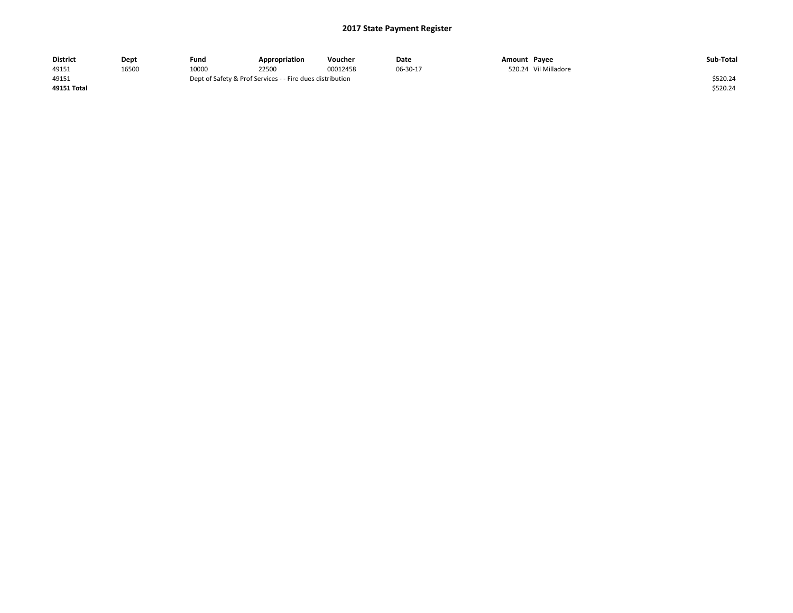| <b>District</b> | Dept  | Fund                                                      | Appropriation | Voucher  | Date     | Amount Payee |                      | Sub-Total |
|-----------------|-------|-----------------------------------------------------------|---------------|----------|----------|--------------|----------------------|-----------|
| 49151           | 16500 | 10000                                                     | 22500         | 00012458 | 06-30-17 |              | 520.24 Vil Milladore |           |
| 49151           |       | Dept of Safety & Prof Services - - Fire dues distribution |               | \$520.24 |          |              |                      |           |
| 49151 Total     |       |                                                           |               |          |          |              |                      | \$520.24  |
|                 |       |                                                           |               |          |          |              |                      |           |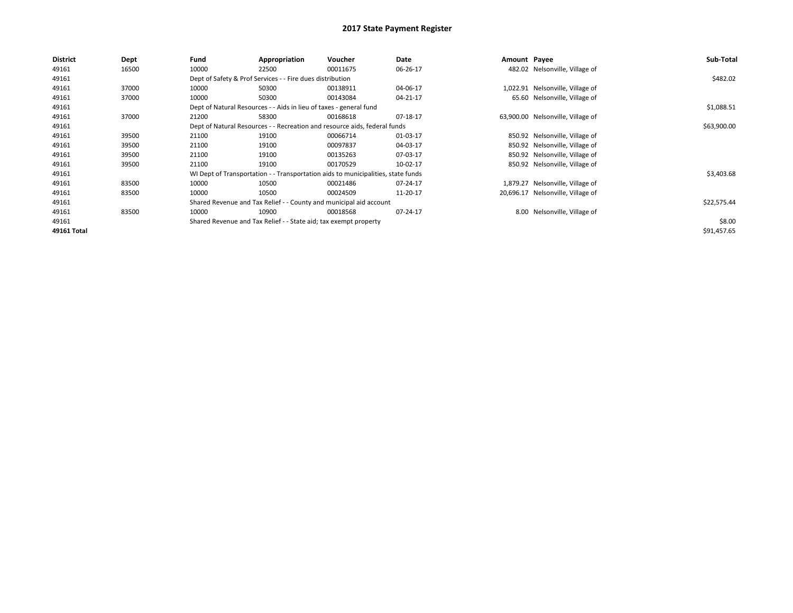| <b>District</b> | <b>Dept</b> | Fund  | Appropriation                                                                    | <b>Voucher</b> | Date     | Amount Payee |                                   | Sub-Total   |
|-----------------|-------------|-------|----------------------------------------------------------------------------------|----------------|----------|--------------|-----------------------------------|-------------|
| 49161           | 16500       | 10000 | 22500                                                                            | 00011675       | 06-26-17 |              | 482.02 Nelsonville, Village of    |             |
| 49161           |             |       | Dept of Safety & Prof Services - - Fire dues distribution                        |                |          |              |                                   | \$482.02    |
| 49161           | 37000       | 10000 | 50300                                                                            | 00138911       | 04-06-17 |              | 1,022.91 Nelsonville, Village of  |             |
| 49161           | 37000       | 10000 | 50300                                                                            | 00143084       | 04-21-17 |              | 65.60 Nelsonville, Village of     |             |
| 49161           |             |       | Dept of Natural Resources - - Aids in lieu of taxes - general fund               |                |          |              |                                   | \$1,088.51  |
| 49161           | 37000       | 21200 | 58300                                                                            | 00168618       | 07-18-17 |              | 63,900.00 Nelsonville, Village of |             |
| 49161           |             |       | Dept of Natural Resources - - Recreation and resource aids, federal funds        |                |          |              |                                   | \$63,900.00 |
| 49161           | 39500       | 21100 | 19100                                                                            | 00066714       | 01-03-17 |              | 850.92 Nelsonville, Village of    |             |
| 49161           | 39500       | 21100 | 19100                                                                            | 00097837       | 04-03-17 |              | 850.92 Nelsonville, Village of    |             |
| 49161           | 39500       | 21100 | 19100                                                                            | 00135263       | 07-03-17 |              | 850.92 Nelsonville, Village of    |             |
| 49161           | 39500       | 21100 | 19100                                                                            | 00170529       | 10-02-17 |              | 850.92 Nelsonville, Village of    |             |
| 49161           |             |       | WI Dept of Transportation - - Transportation aids to municipalities, state funds |                |          |              |                                   | \$3,403.68  |
| 49161           | 83500       | 10000 | 10500                                                                            | 00021486       | 07-24-17 | 1,879.27     | Nelsonville, Village of           |             |
| 49161           | 83500       | 10000 | 10500                                                                            | 00024509       | 11-20-17 |              | 20,696.17 Nelsonville, Village of |             |
| 49161           |             |       | Shared Revenue and Tax Relief - - County and municipal aid account               |                |          |              |                                   | \$22,575.44 |
| 49161           | 83500       | 10000 | 10900                                                                            | 00018568       | 07-24-17 | 8.00         | Nelsonville, Village of           |             |
| 49161           |             |       | Shared Revenue and Tax Relief - - State aid; tax exempt property                 |                |          |              |                                   | \$8.00      |
| 49161 Total     |             |       |                                                                                  |                |          |              |                                   | \$91,457.65 |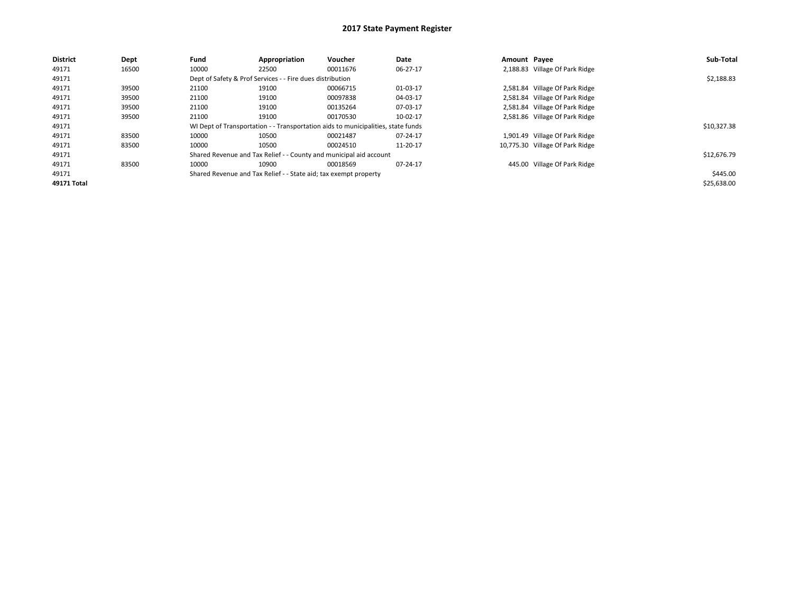| <b>District</b> | Dept  | Fund  | Appropriation                                                    | Voucher                                                                          | Date     | Amount Payee |                                 | Sub-Total   |
|-----------------|-------|-------|------------------------------------------------------------------|----------------------------------------------------------------------------------|----------|--------------|---------------------------------|-------------|
| 49171           | 16500 | 10000 | 22500                                                            | 00011676                                                                         | 06-27-17 |              | 2,188.83 Village Of Park Ridge  |             |
| 49171           |       |       | Dept of Safety & Prof Services - - Fire dues distribution        |                                                                                  |          |              |                                 | \$2,188.83  |
| 49171           | 39500 | 21100 | 19100                                                            | 00066715                                                                         | 01-03-17 |              | 2,581.84 Village Of Park Ridge  |             |
| 49171           | 39500 | 21100 | 19100                                                            | 00097838                                                                         | 04-03-17 |              | 2,581.84 Village Of Park Ridge  |             |
| 49171           | 39500 | 21100 | 19100                                                            | 00135264                                                                         | 07-03-17 |              | 2,581.84 Village Of Park Ridge  |             |
| 49171           | 39500 | 21100 | 19100                                                            | 00170530                                                                         | 10-02-17 |              | 2,581.86 Village Of Park Ridge  |             |
| 49171           |       |       |                                                                  | WI Dept of Transportation - - Transportation aids to municipalities, state funds |          |              |                                 | \$10,327.38 |
| 49171           | 83500 | 10000 | 10500                                                            | 00021487                                                                         | 07-24-17 |              | 1,901.49 Village Of Park Ridge  |             |
| 49171           | 83500 | 10000 | 10500                                                            | 00024510                                                                         | 11-20-17 |              | 10,775.30 Village Of Park Ridge |             |
| 49171           |       |       |                                                                  | Shared Revenue and Tax Relief - - County and municipal aid account               |          |              |                                 | \$12,676.79 |
| 49171           | 83500 | 10000 | 10900                                                            | 00018569                                                                         | 07-24-17 |              | 445.00 Village Of Park Ridge    |             |
| 49171           |       |       | Shared Revenue and Tax Relief - - State aid; tax exempt property |                                                                                  |          |              |                                 | \$445.00    |
| 49171 Total     |       |       |                                                                  |                                                                                  |          |              |                                 | \$25,638.00 |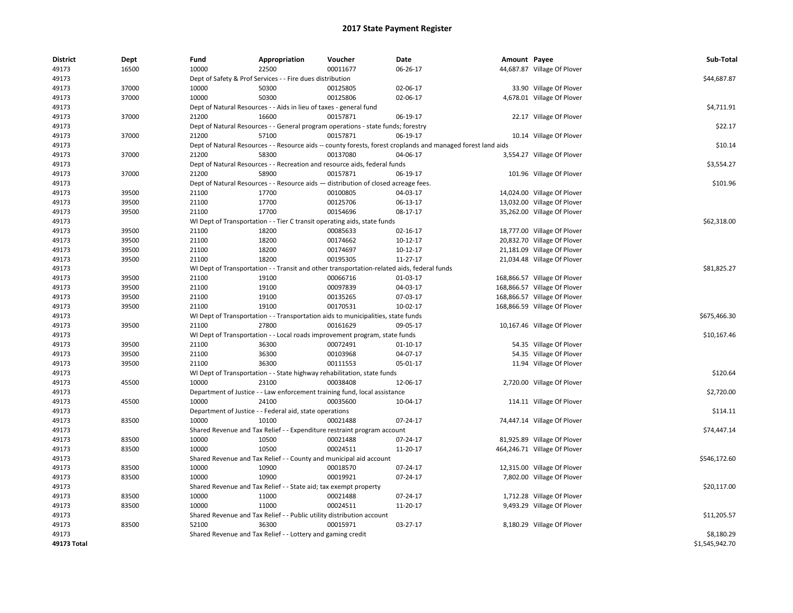| <b>District</b> | Dept  | Fund  | Appropriation                                                                      | Voucher  | Date                                                                                                         | Amount Payee |                              | Sub-Total      |
|-----------------|-------|-------|------------------------------------------------------------------------------------|----------|--------------------------------------------------------------------------------------------------------------|--------------|------------------------------|----------------|
| 49173           | 16500 | 10000 | 22500                                                                              | 00011677 | 06-26-17                                                                                                     |              | 44,687.87 Village Of Plover  |                |
| 49173           |       |       | Dept of Safety & Prof Services - - Fire dues distribution                          |          |                                                                                                              |              |                              | \$44,687.87    |
| 49173           | 37000 | 10000 | 50300                                                                              | 00125805 | 02-06-17                                                                                                     |              | 33.90 Village Of Plover      |                |
| 49173           | 37000 | 10000 | 50300                                                                              | 00125806 | 02-06-17                                                                                                     |              | 4,678.01 Village Of Plover   |                |
| 49173           |       |       | Dept of Natural Resources - - Aids in lieu of taxes - general fund                 |          |                                                                                                              |              |                              | \$4,711.91     |
| 49173           | 37000 | 21200 | 16600                                                                              | 00157871 | 06-19-17                                                                                                     |              | 22.17 Village Of Plover      |                |
| 49173           |       |       | Dept of Natural Resources - - General program operations - state funds; forestry   |          |                                                                                                              |              |                              | \$22.17        |
| 49173           | 37000 | 21200 | 57100                                                                              | 00157871 | 06-19-17                                                                                                     |              | 10.14 Village Of Plover      |                |
| 49173           |       |       |                                                                                    |          | Dept of Natural Resources - - Resource aids -- county forests, forest croplands and managed forest land aids |              |                              | \$10.14        |
| 49173           | 37000 | 21200 | 58300                                                                              | 00137080 | 04-06-17                                                                                                     |              | 3,554.27 Village Of Plover   |                |
| 49173           |       |       | Dept of Natural Resources - - Recreation and resource aids, federal funds          |          |                                                                                                              |              |                              | \$3,554.27     |
| 49173           | 37000 | 21200 | 58900                                                                              | 00157871 | 06-19-17                                                                                                     |              | 101.96 Village Of Plover     |                |
| 49173           |       |       | Dept of Natural Resources - - Resource aids - distribution of closed acreage fees. |          |                                                                                                              |              |                              | \$101.96       |
| 49173           | 39500 | 21100 | 17700                                                                              | 00100805 | 04-03-17                                                                                                     |              | 14,024.00 Village Of Plover  |                |
| 49173           | 39500 | 21100 | 17700                                                                              | 00125706 | 06-13-17                                                                                                     |              | 13,032.00 Village Of Plover  |                |
| 49173           | 39500 | 21100 | 17700                                                                              | 00154696 | 08-17-17                                                                                                     |              | 35,262.00 Village Of Plover  |                |
| 49173           |       |       | WI Dept of Transportation - - Tier C transit operating aids, state funds           |          |                                                                                                              |              |                              | \$62,318.00    |
| 49173           | 39500 | 21100 | 18200                                                                              | 00085633 | 02-16-17                                                                                                     |              | 18,777.00 Village Of Plover  |                |
| 49173           | 39500 | 21100 | 18200                                                                              | 00174662 | 10-12-17                                                                                                     |              | 20,832.70 Village Of Plover  |                |
| 49173           | 39500 | 21100 | 18200                                                                              | 00174697 | 10-12-17                                                                                                     |              | 21,181.09 Village Of Plover  |                |
| 49173           | 39500 | 21100 | 18200                                                                              | 00195305 | 11-27-17                                                                                                     |              | 21,034.48 Village Of Plover  |                |
| 49173           |       |       |                                                                                    |          | WI Dept of Transportation - - Transit and other transportation-related aids, federal funds                   |              |                              | \$81,825.27    |
| 49173           | 39500 | 21100 | 19100                                                                              | 00066716 | 01-03-17                                                                                                     |              | 168,866.57 Village Of Plover |                |
| 49173           | 39500 | 21100 | 19100                                                                              | 00097839 | 04-03-17                                                                                                     |              | 168,866.57 Village Of Plover |                |
| 49173           | 39500 | 21100 | 19100                                                                              | 00135265 | 07-03-17                                                                                                     |              | 168,866.57 Village Of Plover |                |
| 49173           | 39500 | 21100 | 19100                                                                              | 00170531 | 10-02-17                                                                                                     |              | 168,866.59 Village Of Plover |                |
| 49173           |       |       | WI Dept of Transportation - - Transportation aids to municipalities, state funds   |          |                                                                                                              |              |                              | \$675,466.30   |
| 49173           | 39500 | 21100 | 27800                                                                              | 00161629 | 09-05-17                                                                                                     |              | 10,167.46 Village Of Plover  |                |
| 49173           |       |       | WI Dept of Transportation - - Local roads improvement program, state funds         |          |                                                                                                              |              |                              | \$10,167.46    |
| 49173           | 39500 | 21100 | 36300                                                                              | 00072491 | 01-10-17                                                                                                     |              | 54.35 Village Of Plover      |                |
| 49173           | 39500 | 21100 | 36300                                                                              | 00103968 | 04-07-17                                                                                                     |              | 54.35 Village Of Plover      |                |
| 49173           | 39500 | 21100 | 36300                                                                              | 00111553 | 05-01-17                                                                                                     |              | 11.94 Village Of Plover      |                |
| 49173           |       |       | WI Dept of Transportation - - State highway rehabilitation, state funds            |          |                                                                                                              |              |                              | \$120.64       |
| 49173           | 45500 | 10000 | 23100                                                                              | 00038408 | 12-06-17                                                                                                     |              | 2,720.00 Village Of Plover   |                |
| 49173           |       |       | Department of Justice - - Law enforcement training fund, local assistance          |          |                                                                                                              |              |                              | \$2,720.00     |
| 49173           | 45500 | 10000 | 24100                                                                              | 00035600 | 10-04-17                                                                                                     |              | 114.11 Village Of Plover     |                |
| 49173           |       |       | Department of Justice - - Federal aid, state operations                            |          |                                                                                                              |              |                              | \$114.11       |
| 49173           | 83500 | 10000 | 10100                                                                              | 00021488 | 07-24-17                                                                                                     |              | 74,447.14 Village Of Plover  |                |
| 49173           |       |       | Shared Revenue and Tax Relief - - Expenditure restraint program account            |          |                                                                                                              |              |                              | \$74,447.14    |
| 49173           | 83500 | 10000 | 10500                                                                              | 00021488 | 07-24-17                                                                                                     |              | 81,925.89 Village Of Plover  |                |
| 49173           | 83500 | 10000 | 10500                                                                              | 00024511 | 11-20-17                                                                                                     |              | 464,246.71 Village Of Plover |                |
| 49173           |       |       | Shared Revenue and Tax Relief - - County and municipal aid account                 |          |                                                                                                              |              |                              | \$546,172.60   |
| 49173           | 83500 | 10000 | 10900                                                                              | 00018570 | 07-24-17                                                                                                     |              | 12,315.00 Village Of Plover  |                |
| 49173           | 83500 | 10000 | 10900                                                                              | 00019921 | 07-24-17                                                                                                     |              | 7,802.00 Village Of Plover   |                |
|                 |       |       |                                                                                    |          |                                                                                                              |              |                              |                |
| 49173<br>49173  | 83500 | 10000 | Shared Revenue and Tax Relief - - State aid; tax exempt property<br>11000          | 00021488 | 07-24-17                                                                                                     |              |                              | \$20,117.00    |
| 49173           | 83500 | 10000 | 11000                                                                              | 00024511 | 11-20-17                                                                                                     |              | 1,712.28 Village Of Plover   |                |
|                 |       |       |                                                                                    |          |                                                                                                              |              | 9,493.29 Village Of Plover   |                |
| 49173           |       |       | Shared Revenue and Tax Relief - - Public utility distribution account              |          | 03-27-17                                                                                                     |              |                              | \$11,205.57    |
| 49173<br>49173  | 83500 | 52100 | 36300                                                                              | 00015971 |                                                                                                              |              | 8,180.29 Village Of Plover   | \$8,180.29     |
| 49173 Total     |       |       | Shared Revenue and Tax Relief - - Lottery and gaming credit                        |          |                                                                                                              |              |                              | \$1,545,942.70 |
|                 |       |       |                                                                                    |          |                                                                                                              |              |                              |                |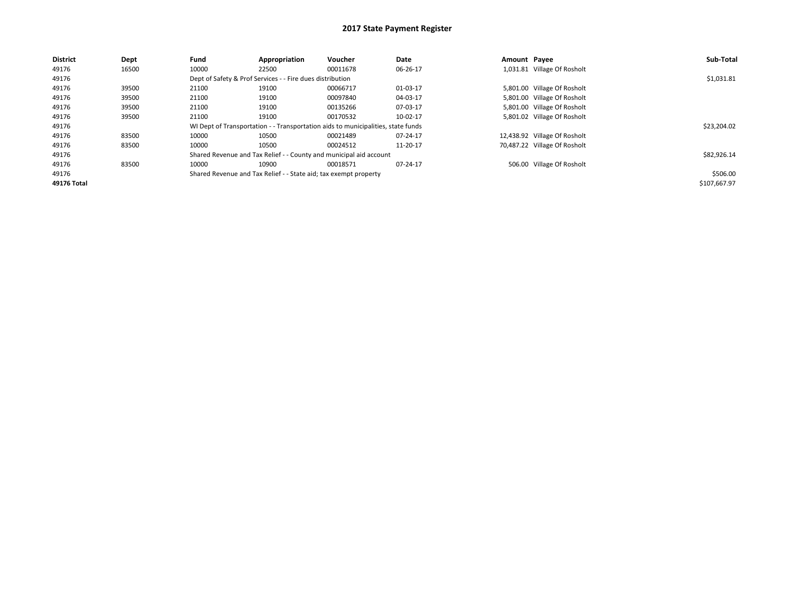| <b>District</b> | Dept  | Fund  | Appropriation                                                    | Voucher                                                                          | Date     | Amount Payee |                              | Sub-Total    |
|-----------------|-------|-------|------------------------------------------------------------------|----------------------------------------------------------------------------------|----------|--------------|------------------------------|--------------|
| 49176           | 16500 | 10000 | 22500                                                            | 00011678                                                                         | 06-26-17 |              | 1,031.81 Village Of Rosholt  |              |
| 49176           |       |       | Dept of Safety & Prof Services - - Fire dues distribution        |                                                                                  |          |              |                              | \$1,031.81   |
| 49176           | 39500 | 21100 | 19100                                                            | 00066717                                                                         | 01-03-17 |              | 5,801.00 Village Of Rosholt  |              |
| 49176           | 39500 | 21100 | 19100                                                            | 00097840                                                                         | 04-03-17 |              | 5,801.00 Village Of Rosholt  |              |
| 49176           | 39500 | 21100 | 19100                                                            | 00135266                                                                         | 07-03-17 |              | 5,801.00 Village Of Rosholt  |              |
| 49176           | 39500 | 21100 | 19100                                                            | 00170532                                                                         | 10-02-17 |              | 5,801.02 Village Of Rosholt  |              |
| 49176           |       |       |                                                                  | WI Dept of Transportation - - Transportation aids to municipalities, state funds |          |              |                              | \$23,204.02  |
| 49176           | 83500 | 10000 | 10500                                                            | 00021489                                                                         | 07-24-17 |              | 12,438.92 Village Of Rosholt |              |
| 49176           | 83500 | 10000 | 10500                                                            | 00024512                                                                         | 11-20-17 |              | 70,487.22 Village Of Rosholt |              |
| 49176           |       |       |                                                                  | Shared Revenue and Tax Relief - - County and municipal aid account               |          |              |                              | \$82,926.14  |
| 49176           | 83500 | 10000 | 10900                                                            | 00018571                                                                         | 07-24-17 |              | 506.00 Village Of Rosholt    |              |
| 49176           |       |       | Shared Revenue and Tax Relief - - State aid; tax exempt property |                                                                                  |          |              |                              | \$506.00     |
| 49176 Total     |       |       |                                                                  |                                                                                  |          |              |                              | \$107,667.97 |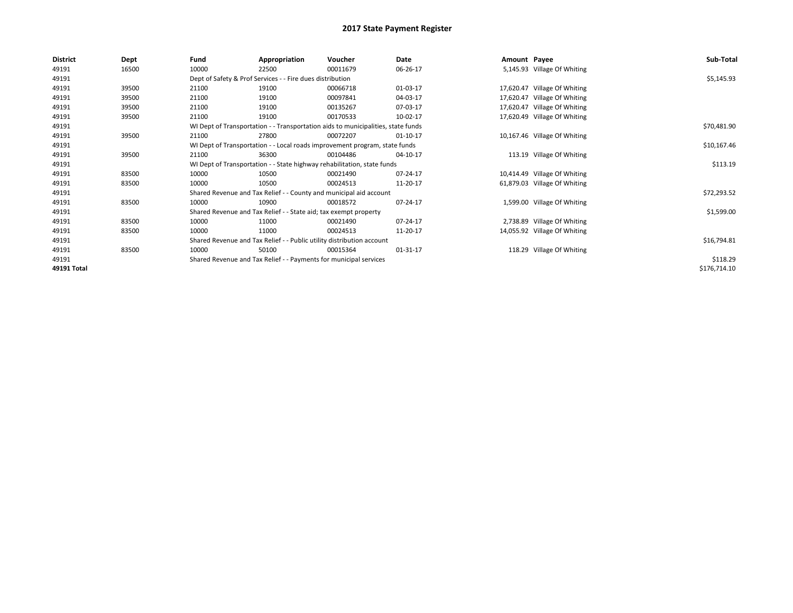| <b>District</b> | Dept  | Fund  | Appropriation                                                                    | Voucher  | Date     | Amount Payee |                              | Sub-Total    |  |  |  |
|-----------------|-------|-------|----------------------------------------------------------------------------------|----------|----------|--------------|------------------------------|--------------|--|--|--|
| 49191           | 16500 | 10000 | 22500                                                                            | 00011679 | 06-26-17 |              | 5,145.93 Village Of Whiting  |              |  |  |  |
| 49191           |       |       | Dept of Safety & Prof Services - - Fire dues distribution                        |          |          |              |                              | \$5,145.93   |  |  |  |
| 49191           | 39500 | 21100 | 19100                                                                            | 00066718 | 01-03-17 |              | 17,620.47 Village Of Whiting |              |  |  |  |
| 49191           | 39500 | 21100 | 19100                                                                            | 00097841 | 04-03-17 |              | 17,620.47 Village Of Whiting |              |  |  |  |
| 49191           | 39500 | 21100 | 19100                                                                            | 00135267 | 07-03-17 |              | 17,620.47 Village Of Whiting |              |  |  |  |
| 49191           | 39500 | 21100 | 19100                                                                            | 00170533 | 10-02-17 |              | 17,620.49 Village Of Whiting |              |  |  |  |
| 49191           |       |       | WI Dept of Transportation - - Transportation aids to municipalities, state funds |          |          |              |                              | \$70,481.90  |  |  |  |
| 49191           | 39500 | 21100 | 27800                                                                            | 00072207 | 01-10-17 |              | 10,167.46 Village Of Whiting |              |  |  |  |
| 49191           |       |       | WI Dept of Transportation - - Local roads improvement program, state funds       |          |          |              |                              |              |  |  |  |
| 49191           | 39500 | 21100 | 36300                                                                            | 00104486 | 04-10-17 |              | 113.19 Village Of Whiting    |              |  |  |  |
| 49191           |       |       | WI Dept of Transportation - - State highway rehabilitation, state funds          |          |          |              |                              | \$113.19     |  |  |  |
| 49191           | 83500 | 10000 | 10500                                                                            | 00021490 | 07-24-17 |              | 10,414.49 Village Of Whiting |              |  |  |  |
| 49191           | 83500 | 10000 | 10500                                                                            | 00024513 | 11-20-17 |              | 61,879.03 Village Of Whiting |              |  |  |  |
| 49191           |       |       | Shared Revenue and Tax Relief - - County and municipal aid account               |          |          |              |                              | \$72,293.52  |  |  |  |
| 49191           | 83500 | 10000 | 10900                                                                            | 00018572 | 07-24-17 |              | 1,599.00 Village Of Whiting  |              |  |  |  |
| 49191           |       |       | Shared Revenue and Tax Relief - - State aid; tax exempt property                 |          |          |              |                              | \$1,599.00   |  |  |  |
| 49191           | 83500 | 10000 | 11000                                                                            | 00021490 | 07-24-17 |              | 2,738.89 Village Of Whiting  |              |  |  |  |
| 49191           | 83500 | 10000 | 11000                                                                            | 00024513 | 11-20-17 |              | 14,055.92 Village Of Whiting |              |  |  |  |
| 49191           |       |       | Shared Revenue and Tax Relief - - Public utility distribution account            |          |          |              |                              | \$16,794.81  |  |  |  |
| 49191           | 83500 | 10000 | 50100                                                                            | 00015364 | 01-31-17 |              | 118.29 Village Of Whiting    |              |  |  |  |
| 49191           |       |       | Shared Revenue and Tax Relief - - Payments for municipal services                |          |          |              |                              | \$118.29     |  |  |  |
| 49191 Total     |       |       |                                                                                  |          |          |              |                              | \$176,714.10 |  |  |  |
|                 |       |       |                                                                                  |          |          |              |                              |              |  |  |  |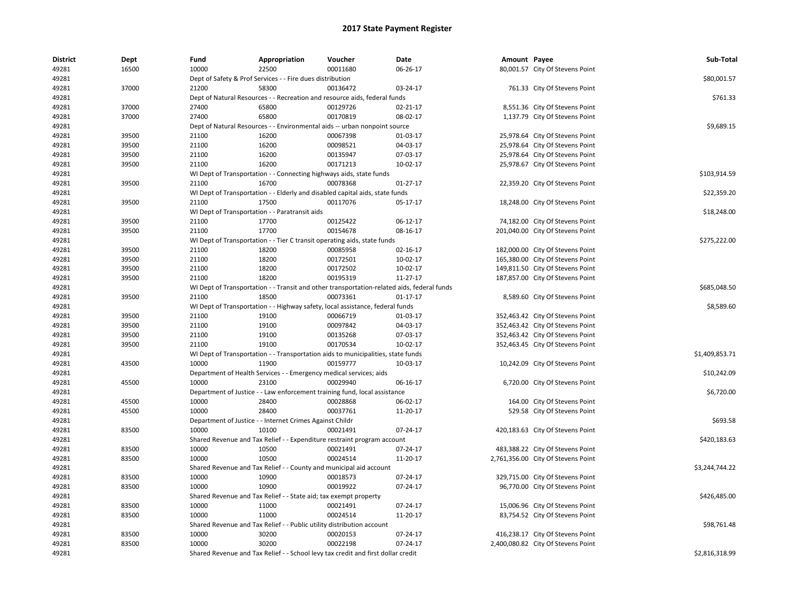| <b>District</b> | Dept  | Fund  | Appropriation                                                                    | Voucher  | Date                                                                                       | Amount Payee |                                    | Sub-Total      |
|-----------------|-------|-------|----------------------------------------------------------------------------------|----------|--------------------------------------------------------------------------------------------|--------------|------------------------------------|----------------|
| 49281           | 16500 | 10000 | 22500                                                                            | 00011680 | 06-26-17                                                                                   |              | 80,001.57 City Of Stevens Point    |                |
| 49281           |       |       | Dept of Safety & Prof Services - - Fire dues distribution                        |          |                                                                                            |              |                                    | \$80,001.57    |
| 49281           | 37000 | 21200 | 58300                                                                            | 00136472 | 03-24-17                                                                                   |              | 761.33 City Of Stevens Point       |                |
| 49281           |       |       | Dept of Natural Resources - - Recreation and resource aids, federal funds        |          |                                                                                            |              |                                    | \$761.33       |
| 49281           | 37000 | 27400 | 65800                                                                            | 00129726 | 02-21-17                                                                                   |              | 8,551.36 City Of Stevens Point     |                |
| 49281           | 37000 | 27400 | 65800                                                                            | 00170819 | 08-02-17                                                                                   |              | 1,137.79 City Of Stevens Point     |                |
| 49281           |       |       | Dept of Natural Resources - - Environmental aids -- urban nonpoint source        |          |                                                                                            |              |                                    | \$9,689.15     |
| 49281           | 39500 | 21100 | 16200                                                                            | 00067398 | 01-03-17                                                                                   |              | 25,978.64 City Of Stevens Point    |                |
| 49281           | 39500 | 21100 | 16200                                                                            | 00098521 | 04-03-17                                                                                   |              | 25,978.64 City Of Stevens Point    |                |
| 49281           | 39500 | 21100 | 16200                                                                            | 00135947 | 07-03-17                                                                                   |              | 25,978.64 City Of Stevens Point    |                |
| 49281           | 39500 | 21100 | 16200                                                                            | 00171213 | 10-02-17                                                                                   |              | 25,978.67 City Of Stevens Point    |                |
| 49281           |       |       | WI Dept of Transportation - - Connecting highways aids, state funds              |          |                                                                                            |              |                                    | \$103,914.59   |
| 49281           | 39500 | 21100 | 16700                                                                            | 00078368 | $01 - 27 - 17$                                                                             |              | 22,359.20 City Of Stevens Point    |                |
| 49281           |       |       | WI Dept of Transportation - - Elderly and disabled capital aids, state funds     |          |                                                                                            |              |                                    | \$22,359.20    |
| 49281           | 39500 | 21100 | 17500                                                                            | 00117076 | 05-17-17                                                                                   |              | 18,248.00 City Of Stevens Point    |                |
| 49281           |       |       | WI Dept of Transportation - - Paratransit aids                                   |          |                                                                                            |              |                                    | \$18,248.00    |
| 49281           | 39500 | 21100 | 17700                                                                            | 00125422 | 06-12-17                                                                                   |              | 74,182.00 City Of Stevens Point    |                |
| 49281           | 39500 | 21100 | 17700                                                                            | 00154678 | 08-16-17                                                                                   |              | 201,040.00 City Of Stevens Point   |                |
| 49281           |       |       | WI Dept of Transportation - - Tier C transit operating aids, state funds         |          |                                                                                            |              |                                    | \$275,222.00   |
| 49281           | 39500 | 21100 | 18200                                                                            | 00085958 | 02-16-17                                                                                   |              | 182,000.00 City Of Stevens Point   |                |
| 49281           | 39500 | 21100 | 18200                                                                            | 00172501 | 10-02-17                                                                                   |              | 165,380.00 City Of Stevens Point   |                |
| 49281           | 39500 | 21100 | 18200                                                                            | 00172502 | 10-02-17                                                                                   |              | 149,811.50 City Of Stevens Point   |                |
| 49281           | 39500 | 21100 | 18200                                                                            | 00195319 | 11-27-17                                                                                   |              | 187,857.00 City Of Stevens Point   |                |
| 49281           |       |       |                                                                                  |          | WI Dept of Transportation - - Transit and other transportation-related aids, federal funds |              |                                    | \$685,048.50   |
| 49281           | 39500 | 21100 | 18500                                                                            | 00073361 | $01 - 17 - 17$                                                                             |              | 8,589.60 City Of Stevens Point     |                |
| 49281           |       |       | WI Dept of Transportation - - Highway safety, local assistance, federal funds    |          |                                                                                            |              |                                    | \$8,589.60     |
| 49281           | 39500 | 21100 | 19100                                                                            | 00066719 | 01-03-17                                                                                   |              | 352,463.42 City Of Stevens Point   |                |
| 49281           | 39500 | 21100 | 19100                                                                            | 00097842 | 04-03-17                                                                                   |              | 352,463.42 City Of Stevens Point   |                |
| 49281           | 39500 | 21100 | 19100                                                                            | 00135268 | 07-03-17                                                                                   |              | 352,463.42 City Of Stevens Point   |                |
| 49281           | 39500 | 21100 | 19100                                                                            | 00170534 | 10-02-17                                                                                   |              | 352,463.45 City Of Stevens Point   |                |
| 49281           |       |       | WI Dept of Transportation - - Transportation aids to municipalities, state funds |          |                                                                                            |              |                                    | \$1,409,853.71 |
| 49281           | 43500 | 10000 | 11900                                                                            | 00159777 | 10-03-17                                                                                   |              | 10,242.09 City Of Stevens Point    |                |
| 49281           |       |       | Department of Health Services - - Emergency medical services; aids               |          |                                                                                            |              |                                    | \$10,242.09    |
| 49281           | 45500 | 10000 | 23100                                                                            | 00029940 | 06-16-17                                                                                   |              | 6,720.00 City Of Stevens Point     |                |
| 49281           |       |       | Department of Justice - - Law enforcement training fund, local assistance        |          |                                                                                            |              |                                    | \$6,720.00     |
| 49281           | 45500 | 10000 | 28400                                                                            | 00028868 | 06-02-17                                                                                   |              | 164.00 City Of Stevens Point       |                |
| 49281           | 45500 | 10000 | 28400                                                                            | 00037761 | 11-20-17                                                                                   |              | 529.58 City Of Stevens Point       |                |
| 49281           |       |       | Department of Justice - - Internet Crimes Against Childr                         |          |                                                                                            |              |                                    | \$693.58       |
| 49281           | 83500 | 10000 | 10100                                                                            | 00021491 | 07-24-17                                                                                   |              | 420,183.63 City Of Stevens Point   |                |
| 49281           |       |       | Shared Revenue and Tax Relief - - Expenditure restraint program account          |          |                                                                                            |              |                                    | \$420,183.63   |
| 49281           | 83500 | 10000 | 10500                                                                            | 00021491 | 07-24-17                                                                                   |              | 483,388.22 City Of Stevens Point   |                |
| 49281           | 83500 | 10000 | 10500                                                                            | 00024514 | 11-20-17                                                                                   |              | 2,761,356.00 City Of Stevens Point |                |
| 49281           |       |       | Shared Revenue and Tax Relief - - County and municipal aid account               |          |                                                                                            |              |                                    | \$3,244,744.22 |
| 49281           | 83500 | 10000 | 10900                                                                            | 00018573 | 07-24-17                                                                                   |              | 329,715.00 City Of Stevens Point   |                |
|                 | 83500 | 10000 | 10900                                                                            | 00019922 | 07-24-17                                                                                   |              |                                    |                |
| 49281           |       |       |                                                                                  |          |                                                                                            |              | 96,770.00 City Of Stevens Point    | \$426,485.00   |
| 49281           |       |       | Shared Revenue and Tax Relief - - State aid; tax exempt property                 |          |                                                                                            |              |                                    |                |
| 49281           | 83500 | 10000 | 11000                                                                            | 00021491 | 07-24-17                                                                                   |              | 15,006.96 City Of Stevens Point    |                |
| 49281           | 83500 | 10000 | 11000                                                                            | 00024514 | 11-20-17                                                                                   |              | 83,754.52 City Of Stevens Point    |                |
| 49281           |       |       | Shared Revenue and Tax Relief - - Public utility distribution account            |          |                                                                                            |              |                                    | \$98,761.48    |
| 49281           | 83500 | 10000 | 30200                                                                            | 00020153 | 07-24-17                                                                                   |              | 416,238.17 City Of Stevens Point   |                |
| 49281           | 83500 | 10000 | 30200                                                                            | 00022198 | 07-24-17                                                                                   |              | 2,400,080.82 City Of Stevens Point |                |
| 49281           |       |       | Shared Revenue and Tax Relief - - School levy tax credit and first dollar credit |          |                                                                                            |              |                                    | \$2,816,318.99 |